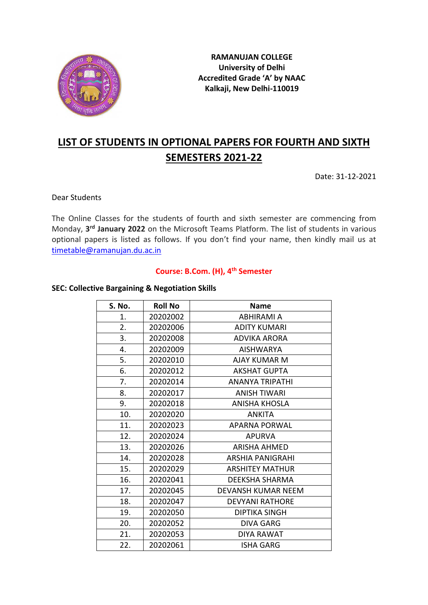

**RAMANUJAN COLLEGE University of Delhi Accredited Grade 'A' by NAAC Kalkaji, New Delhi-110019**

# **LIST OF STUDENTS IN OPTIONAL PAPERS FOR FOURTH AND SIXTH SEMESTERS 2021-22**

Date: 31-12-2021

Dear Students

The Online Classes for the students of fourth and sixth semester are commencing from Monday, **3 rd January 2022** on the Microsoft Teams Platform. The list of students in various optional papers is listed as follows. If you don't find your name, then kindly mail us at [timetable@ramanujan.du.ac.in](mailto:timetable@ramanujan.du.ac.in)

#### **Course: B.Com. (H), 4th Semester**

#### **SEC: Collective Bargaining & Negotiation Skills**

| S. No. | <b>Roll No</b> | <b>Name</b>             |
|--------|----------------|-------------------------|
| 1.     | 20202002       | ABHIRAMI A              |
| 2.     | 20202006       | <b>ADITY KUMARI</b>     |
| 3.     | 20202008       | <b>ADVIKA ARORA</b>     |
| 4.     | 20202009       | <b>AISHWARYA</b>        |
| 5.     | 20202010       | <b>AJAY KUMAR M</b>     |
| 6.     | 20202012       | <b>AKSHAT GUPTA</b>     |
| 7.     | 20202014       | <b>ANANYA TRIPATHI</b>  |
| 8.     | 20202017       | <b>ANISH TIWARI</b>     |
| 9.     | 20202018       | <b>ANISHA KHOSLA</b>    |
| 10.    | 20202020       | <b>ANKITA</b>           |
| 11.    | 20202023       | <b>APARNA PORWAL</b>    |
| 12.    | 20202024       | <b>APURVA</b>           |
| 13.    | 20202026       | <b>ARISHA AHMED</b>     |
| 14.    | 20202028       | <b>ARSHIA PANIGRAHI</b> |
| 15.    | 20202029       | <b>ARSHITEY MATHUR</b>  |
| 16.    | 20202041       | <b>DEEKSHA SHARMA</b>   |
| 17.    | 20202045       | DEVANSH KUMAR NEEM      |
| 18.    | 20202047       | <b>DEVYANI RATHORE</b>  |
| 19.    | 20202050       | <b>DIPTIKA SINGH</b>    |
| 20.    | 20202052       | <b>DIVA GARG</b>        |
| 21.    | 20202053       | DIYA RAWAT              |
| 22.    | 20202061       | <b>ISHA GARG</b>        |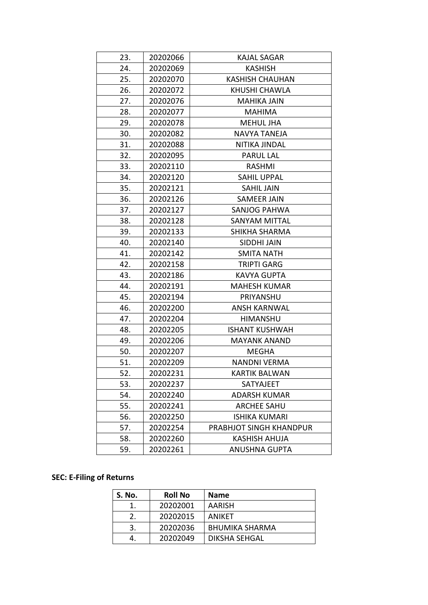| 23. | 20202066 | <b>KAJAL SAGAR</b>      |
|-----|----------|-------------------------|
| 24. | 20202069 | <b>KASHISH</b>          |
| 25. | 20202070 | <b>KASHISH CHAUHAN</b>  |
| 26. | 20202072 | KHUSHI CHAWLA           |
| 27. | 20202076 | <b>MAHIKA JAIN</b>      |
| 28. | 20202077 | <b>MAHIMA</b>           |
| 29. | 20202078 | <b>MEHUL JHA</b>        |
| 30. | 20202082 | NAVYA TANEJA            |
| 31. | 20202088 | NITIKA JINDAL           |
| 32. | 20202095 | <b>PARUL LAL</b>        |
| 33. | 20202110 | <b>RASHMI</b>           |
| 34. | 20202120 | <b>SAHIL UPPAL</b>      |
| 35. | 20202121 | <b>SAHIL JAIN</b>       |
| 36. | 20202126 | <b>SAMEER JAIN</b>      |
| 37. | 20202127 | SANJOG PAHWA            |
| 38. | 20202128 | <b>SANYAM MITTAL</b>    |
| 39. | 20202133 | SHIKHA SHARMA           |
| 40. | 20202140 | <b>SIDDHI JAIN</b>      |
| 41. | 20202142 | <b>SMITA NATH</b>       |
| 42. | 20202158 | <b>TRIPTI GARG</b>      |
| 43. | 20202186 | <b>KAVYA GUPTA</b>      |
| 44. | 20202191 | <b>MAHESH KUMAR</b>     |
| 45. | 20202194 | PRIYANSHU               |
| 46. | 20202200 | <b>ANSH KARNWAL</b>     |
| 47. | 20202204 | HIMANSHU                |
| 48. | 20202205 | <b>ISHANT KUSHWAH</b>   |
| 49. | 20202206 | <b>MAYANK ANAND</b>     |
| 50. | 20202207 | <b>MEGHA</b>            |
| 51. | 20202209 | <b>NANDNI VERMA</b>     |
| 52. | 20202231 | <b>KARTIK BALWAN</b>    |
| 53. | 20202237 | SATYAJEET               |
| 54. | 20202240 | <b>ADARSH KUMAR</b>     |
| 55. | 20202241 | <b>ARCHEE SAHU</b>      |
| 56. | 20202250 | <b>ISHIKA KUMARI</b>    |
| 57. | 20202254 | PRABHJOT SINGH KHANDPUR |
| 58. | 20202260 | KASHISH AHUJA           |
| 59. | 20202261 | <b>ANUSHNA GUPTA</b>    |
|     |          |                         |

## **SEC: E-Filing of Returns**

| S. No. | <b>Roll No</b> | <b>Name</b>           |
|--------|----------------|-----------------------|
|        | 20202001       | <b>AARISH</b>         |
|        | 20202015       | ANIKET                |
| 3.     | 20202036       | <b>BHUMIKA SHARMA</b> |
|        | 20202049       | <b>DIKSHA SEHGAL</b>  |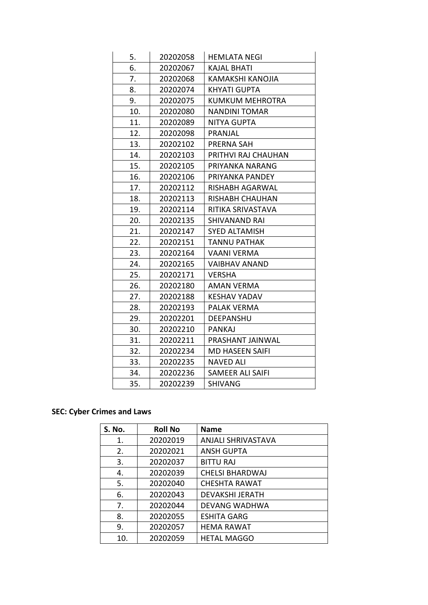| 5.  | 20202058 | <b>HEMLATA NEGI</b>    |
|-----|----------|------------------------|
| 6.  | 20202067 | <b>KAJAL BHATI</b>     |
| 7.  | 20202068 | KAMAKSHI KANOJIA       |
| 8.  | 20202074 | <b>KHYATI GUPTA</b>    |
| 9.  | 20202075 | <b>KUMKUM MEHROTRA</b> |
| 10. | 20202080 | <b>NANDINI TOMAR</b>   |
| 11. | 20202089 | <b>NITYA GUPTA</b>     |
| 12. | 20202098 | PRANJAL                |
| 13. | 20202102 | PRERNA SAH             |
| 14. | 20202103 | PRITHVI RAJ CHAUHAN    |
| 15. | 20202105 | PRIYANKA NARANG        |
| 16. | 20202106 | PRIYANKA PANDEY        |
| 17. | 20202112 | RISHABH AGARWAL        |
| 18. | 20202113 | <b>RISHABH CHAUHAN</b> |
| 19. | 20202114 | RITIKA SRIVASTAVA      |
| 20. | 20202135 | <b>SHIVANAND RAI</b>   |
| 21. | 20202147 | <b>SYED ALTAMISH</b>   |
| 22. | 20202151 | <b>TANNU PATHAK</b>    |
| 23. | 20202164 | <b>VAANI VERMA</b>     |
| 24. | 20202165 | <b>VAIBHAV ANAND</b>   |
| 25. | 20202171 | <b>VERSHA</b>          |
| 26. | 20202180 | <b>AMAN VERMA</b>      |
| 27. | 20202188 | <b>KESHAV YADAV</b>    |
| 28. | 20202193 | <b>PALAK VERMA</b>     |
| 29. | 20202201 | <b>DEEPANSHU</b>       |
| 30. | 20202210 | <b>PANKAJ</b>          |
| 31. | 20202211 | PRASHANT JAINWAL       |
| 32. | 20202234 | <b>MD HASEEN SAIFI</b> |
| 33. | 20202235 | <b>NAVED ALI</b>       |
| 34. | 20202236 | SAMEER ALI SAIFI       |
| 35. | 20202239 | <b>SHIVANG</b>         |

### **SEC: Cyber Crimes and Laws**

| <b>S. No.</b> | <b>Roll No</b> | <b>Name</b>               |
|---------------|----------------|---------------------------|
| 1.            | 20202019       | <b>ANJALI SHRIVASTAVA</b> |
| 2.            | 20202021       | <b>ANSH GUPTA</b>         |
| 3.            | 20202037       | <b>BITTU RAJ</b>          |
| 4.            | 20202039       | <b>CHELSI BHARDWAJ</b>    |
| 5.            | 20202040       | <b>CHESHTA RAWAT</b>      |
| 6.            | 20202043       | <b>DEVAKSHI JERATH</b>    |
| 7.            | 20202044       | <b>DEVANG WADHWA</b>      |
| 8.            | 20202055       | <b>ESHITA GARG</b>        |
| 9.            | 20202057       | <b>HEMA RAWAT</b>         |
| 10.           | 20202059       | <b>HETAL MAGGO</b>        |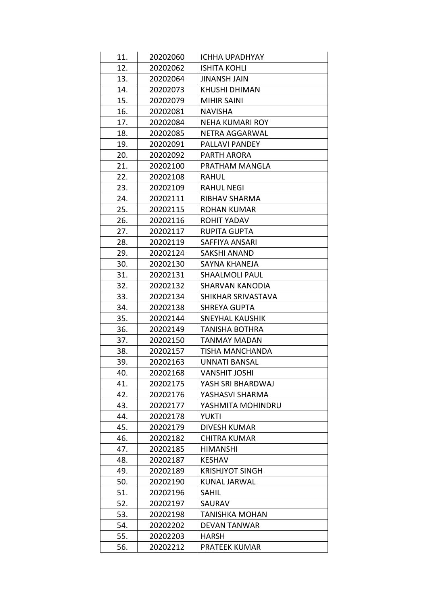| 11. | 20202060 | <b>ICHHA UPADHYAY</b>  |
|-----|----------|------------------------|
| 12. | 20202062 | <b>ISHITA KOHLI</b>    |
| 13. | 20202064 | <b>JINANSH JAIN</b>    |
| 14. | 20202073 | <b>KHUSHI DHIMAN</b>   |
| 15. | 20202079 | <b>MIHIR SAINI</b>     |
| 16. | 20202081 | <b>NAVISHA</b>         |
| 17. | 20202084 | <b>NEHA KUMARI ROY</b> |
| 18. | 20202085 | NETRA AGGARWAL         |
| 19. | 20202091 | PALLAVI PANDEY         |
| 20. | 20202092 | PARTH ARORA            |
| 21. | 20202100 | PRATHAM MANGLA         |
| 22. | 20202108 | RAHUL                  |
| 23. | 20202109 | <b>RAHUL NEGI</b>      |
| 24. | 20202111 | RIBHAV SHARMA          |
| 25. | 20202115 | <b>ROHAN KUMAR</b>     |
| 26. | 20202116 | ROHIT YADAV            |
| 27. | 20202117 | <b>RUPITA GUPTA</b>    |
| 28. | 20202119 | SAFFIYA ANSARI         |
| 29. | 20202124 | <b>SAKSHI ANAND</b>    |
| 30. | 20202130 | SAYNA KHANEJA          |
| 31. | 20202131 | <b>SHAALMOLI PAUL</b>  |
| 32. | 20202132 | <b>SHARVAN KANODIA</b> |
| 33. | 20202134 | SHIKHAR SRIVASTAVA     |
| 34. | 20202138 | <b>SHREYA GUPTA</b>    |
| 35. | 20202144 | <b>SNEYHAL KAUSHIK</b> |
| 36. | 20202149 | <b>TANISHA BOTHRA</b>  |
| 37. | 20202150 | <b>TANMAY MADAN</b>    |
| 38. | 20202157 | TISHA MANCHANDA        |
| 39. | 20202163 | <b>UNNATI BANSAL</b>   |
| 40. | 20202168 | <b>VANSHIT JOSHI</b>   |
| 41. | 20202175 | YASH SRI BHARDWAJ      |
| 42. | 20202176 | YASHASVI SHARMA        |
| 43. | 20202177 | YASHMITA MOHINDRU      |
| 44. | 20202178 | <b>YUKTI</b>           |
| 45. | 20202179 | DIVESH KUMAR           |
| 46. | 20202182 | <b>CHITRA KUMAR</b>    |
| 47. | 20202185 | <b>HIMANSHI</b>        |
| 48. | 20202187 | <b>KESHAV</b>          |
| 49. | 20202189 | <b>KRISHJYOT SINGH</b> |
| 50. | 20202190 | <b>KUNAL JARWAL</b>    |
| 51. | 20202196 | <b>SAHIL</b>           |
| 52. | 20202197 | SAURAV                 |
| 53. | 20202198 | <b>TANISHKA MOHAN</b>  |
| 54. | 20202202 | <b>DEVAN TANWAR</b>    |
| 55. | 20202203 | <b>HARSH</b>           |
| 56. | 20202212 | PRATEEK KUMAR          |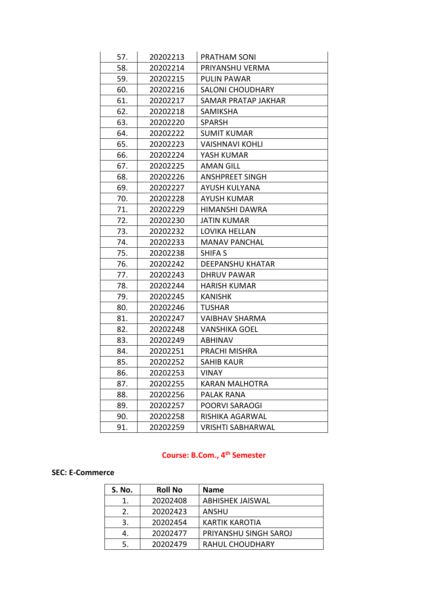| 57. | 20202213 | PRATHAM SONI             |
|-----|----------|--------------------------|
| 58. | 20202214 | PRIYANSHU VERMA          |
| 59. | 20202215 | <b>PULIN PAWAR</b>       |
| 60. | 20202216 | <b>SALONI CHOUDHARY</b>  |
| 61. | 20202217 | SAMAR PRATAP JAKHAR      |
| 62. | 20202218 | SAMIKSHA                 |
| 63. | 20202220 | <b>SPARSH</b>            |
| 64. | 20202222 | <b>SUMIT KUMAR</b>       |
| 65. | 20202223 | <b>VAISHNAVI KOHLI</b>   |
| 66. | 20202224 | YASH KUMAR               |
| 67. | 20202225 | <b>AMAN GILL</b>         |
| 68. | 20202226 | <b>ANSHPREET SINGH</b>   |
| 69. | 20202227 | <b>AYUSH KULYANA</b>     |
| 70. | 20202228 | <b>AYUSH KUMAR</b>       |
| 71. | 20202229 | HIMANSHI DAWRA           |
| 72. | 20202230 | <b>JATIN KUMAR</b>       |
| 73. | 20202232 | LOVIKA HELLAN            |
| 74. | 20202233 | <b>MANAV PANCHAL</b>     |
| 75. | 20202238 | <b>SHIFA S</b>           |
| 76. | 20202242 | <b>DEEPANSHU KHATAR</b>  |
| 77. | 20202243 | DHRUV PAWAR              |
| 78. | 20202244 | <b>HARISH KUMAR</b>      |
| 79. | 20202245 | <b>KANISHK</b>           |
| 80. | 20202246 | <b>TUSHAR</b>            |
| 81. | 20202247 | <b>VAIBHAV SHARMA</b>    |
| 82. | 20202248 | <b>VANSHIKA GOEL</b>     |
| 83. | 20202249 | <b>ABHINAV</b>           |
| 84. | 20202251 | PRACHI MISHRA            |
| 85. | 20202252 | <b>SAHIB KAUR</b>        |
| 86. | 20202253 | <b>VINAY</b>             |
| 87. | 20202255 | KARAN MALHOTRA           |
| 88. | 20202256 | <b>PALAK RANA</b>        |
| 89. | 20202257 | POORVI SARAOGI           |
| 90. | 20202258 | RISHIKA AGARWAL          |
| 91. | 20202259 | <b>VRISHTI SABHARWAL</b> |

## **Course: B.Com., 4th Semester**

#### **SEC: E-Commerce**

| S. No. | <b>Roll No</b> | <b>Name</b>             |
|--------|----------------|-------------------------|
|        | 20202408       | <b>ABHISHEK JAISWAL</b> |
| 2.     | 20202423       | <b>ANSHU</b>            |
| 3.     | 20202454       | <b>KARTIK KAROTIA</b>   |
| 4.     | 20202477       | PRIYANSHU SINGH SAROJ   |
| 5.     | 20202479       | <b>RAHUL CHOUDHARY</b>  |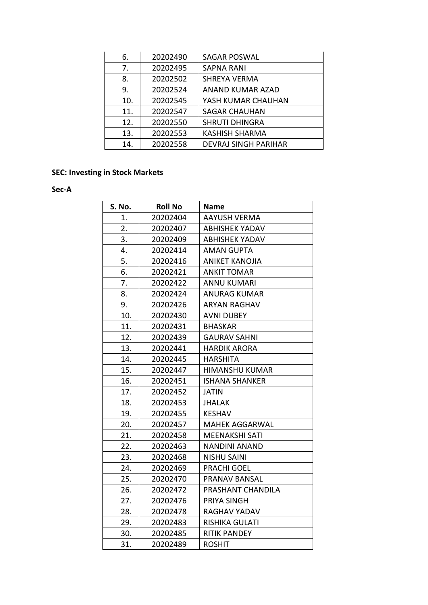| 6.  | 20202490 | <b>SAGAR POSWAL</b>         |
|-----|----------|-----------------------------|
| 7.  | 20202495 | <b>SAPNA RANI</b>           |
| 8.  | 20202502 | SHREYA VERMA                |
| 9.  | 20202524 | ANAND KUMAR AZAD            |
| 10. | 20202545 | YASH KUMAR CHAUHAN          |
| 11. | 20202547 | <b>SAGAR CHAUHAN</b>        |
| 12. | 20202550 | <b>SHRUTI DHINGRA</b>       |
| 13. | 20202553 | <b>KASHISH SHARMA</b>       |
| 14. | 20202558 | <b>DEVRAJ SINGH PARIHAR</b> |

## **SEC: Investing in Stock Markets**

**Sec-A**

| S. No. | <b>Roll No</b> | <b>Name</b>           |
|--------|----------------|-----------------------|
| 1.     | 20202404       | <b>AAYUSH VERMA</b>   |
| 2.     | 20202407       | <b>ABHISHEK YADAV</b> |
| 3.     | 20202409       | <b>ABHISHEK YADAV</b> |
| 4.     | 20202414       | <b>AMAN GUPTA</b>     |
| 5.     | 20202416       | <b>ANIKET KANOJIA</b> |
| 6.     | 20202421       | <b>ANKIT TOMAR</b>    |
| 7.     | 20202422       | <b>ANNU KUMARI</b>    |
| 8.     | 20202424       | <b>ANURAG KUMAR</b>   |
| 9.     | 20202426       | <b>ARYAN RAGHAV</b>   |
| 10.    | 20202430       | <b>AVNI DUBEY</b>     |
| 11.    | 20202431       | <b>BHASKAR</b>        |
| 12.    | 20202439       | <b>GAURAV SAHNI</b>   |
| 13.    | 20202441       | <b>HARDIK ARORA</b>   |
| 14.    | 20202445       | <b>HARSHITA</b>       |
| 15.    | 20202447       | <b>HIMANSHU KUMAR</b> |
| 16.    | 20202451       | <b>ISHANA SHANKER</b> |
| 17.    | 20202452       | <b>JATIN</b>          |
| 18.    | 20202453       | <b>JHALAK</b>         |
| 19.    | 20202455       | <b>KESHAV</b>         |
| 20.    | 20202457       | <b>MAHEK AGGARWAL</b> |
| 21.    | 20202458       | <b>MEENAKSHI SATI</b> |
| 22.    | 20202463       | <b>NANDINI ANAND</b>  |
| 23.    | 20202468       | <b>NISHU SAINI</b>    |
| 24.    | 20202469       | <b>PRACHI GOEL</b>    |
| 25.    | 20202470       | PRANAV BANSAL         |
| 26.    | 20202472       | PRASHANT CHANDILA     |
| 27.    | 20202476       | PRIYA SINGH           |
| 28.    | 20202478       | RAGHAV YADAV          |
| 29.    | 20202483       | RISHIKA GULATI        |
| 30.    | 20202485       | <b>RITIK PANDEY</b>   |
| 31.    | 20202489       | <b>ROSHIT</b>         |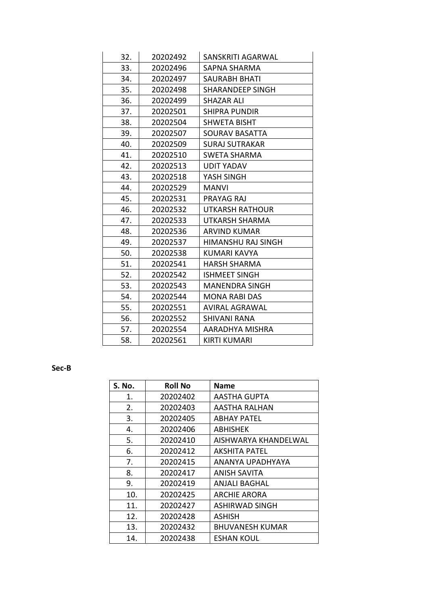| 32. | 20202492 | SANSKRITI AGARWAL         |
|-----|----------|---------------------------|
| 33. | 20202496 | <b>SAPNA SHARMA</b>       |
| 34. | 20202497 | <b>SAURABH BHATI</b>      |
| 35. | 20202498 | SHARANDEEP SINGH          |
| 36. | 20202499 | SHAZAR ALI                |
| 37. | 20202501 | <b>SHIPRA PUNDIR</b>      |
| 38. | 20202504 | <b>SHWETA BISHT</b>       |
| 39. | 20202507 | SOURAV BASATTA            |
| 40. | 20202509 | <b>SURAJ SUTRAKAR</b>     |
| 41. | 20202510 | SWETA SHARMA              |
| 42. | 20202513 | <b>UDIT YADAV</b>         |
| 43. | 20202518 | YASH SINGH                |
| 44. | 20202529 | <b>MANVI</b>              |
| 45. | 20202531 | PRAYAG RAJ                |
| 46. | 20202532 | <b>UTKARSH RATHOUR</b>    |
| 47. | 20202533 | UTKARSH SHARMA            |
| 48. | 20202536 | <b>ARVIND KUMAR</b>       |
| 49. | 20202537 | <b>HIMANSHU RAJ SINGH</b> |
| 50. | 20202538 | <b>KUMARI KAVYA</b>       |
| 51. | 20202541 | HARSH SHARMA              |
| 52. | 20202542 | <b>ISHMEET SINGH</b>      |
| 53. | 20202543 | <b>MANENDRA SINGH</b>     |
| 54. | 20202544 | <b>MONA RABI DAS</b>      |
| 55. | 20202551 | <b>AVIRAL AGRAWAL</b>     |
| 56. | 20202552 | <b>SHIVANI RANA</b>       |
| 57. | 20202554 | AARADHYA MISHRA           |
| 58. | 20202561 | <b>KIRTI KUMARI</b>       |

### **Sec-B**

| S. No. | <b>Roll No</b> | <b>Name</b>          |
|--------|----------------|----------------------|
| 1.     | 20202402       | AASTHA GUPTA         |
| 2.     | 20202403       | AASTHA RALHAN        |
| 3.     | 20202405       | ABHAY PATEL          |
| 4.     | 20202406       | <b>ABHISHEK</b>      |
| 5.     | 20202410       | AISHWARYA KHANDELWAL |
| 6.     | 20202412       | AKSHITA PATEL        |
| 7.     | 20202415       | ANANYA UPADHYAYA     |
| 8.     | 20202417       | ANISH SAVITA         |
| 9.     | 20202419       | ANJALI BAGHAL        |
| 10.    | 20202425       | <b>ARCHIE ARORA</b>  |
| 11.    | 20202427       | ASHIRWAD SINGH       |
| 12.    | 20202428       | ASHISH               |
| 13.    | 20202432       | BHUVANESH KUMAR      |
| 14.    | 20202438       | ESHAN KOUL           |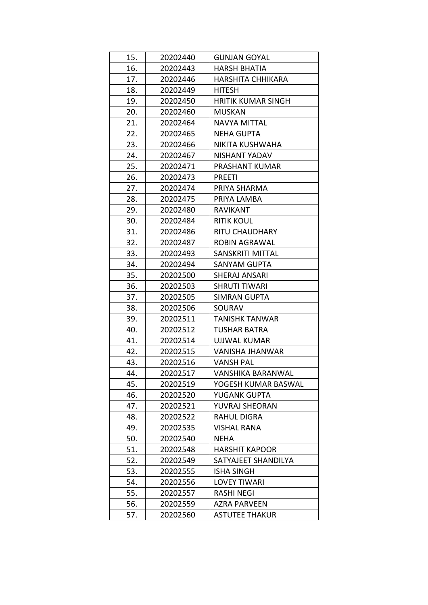| 15. | 20202440 | <b>GUNJAN GOYAL</b>       |
|-----|----------|---------------------------|
| 16. | 20202443 | <b>HARSH BHATIA</b>       |
| 17. | 20202446 | <b>HARSHITA CHHIKARA</b>  |
| 18. | 20202449 | <b>HITESH</b>             |
| 19. | 20202450 | <b>HRITIK KUMAR SINGH</b> |
| 20. | 20202460 | MUSKAN                    |
| 21. | 20202464 | <b>NAVYA MITTAL</b>       |
| 22. | 20202465 | <b>NEHA GUPTA</b>         |
| 23. | 20202466 | NIKITA KUSHWAHA           |
| 24. | 20202467 | NISHANT YADAV             |
| 25. | 20202471 | PRASHANT KUMAR            |
| 26. | 20202473 | <b>PREETI</b>             |
| 27. | 20202474 | PRIYA SHARMA              |
| 28. | 20202475 | PRIYA LAMBA               |
| 29. | 20202480 | <b>RAVIKANT</b>           |
| 30. | 20202484 | <b>RITIK KOUL</b>         |
| 31. | 20202486 | <b>RITU CHAUDHARY</b>     |
| 32. | 20202487 | <b>ROBIN AGRAWAL</b>      |
| 33. | 20202493 | SANSKRITI MITTAL          |
| 34. | 20202494 | <b>SANYAM GUPTA</b>       |
| 35. | 20202500 | <b>SHERAJ ANSARI</b>      |
| 36. | 20202503 | <b>SHRUTI TIWARI</b>      |
| 37. | 20202505 | <b>SIMRAN GUPTA</b>       |
| 38. | 20202506 | SOURAV                    |
| 39. | 20202511 | TANISHK TANWAR            |
| 40. | 20202512 | <b>TUSHAR BATRA</b>       |
| 41. | 20202514 | UJJWAL KUMAR              |
| 42. | 20202515 | VANISHA JHANWAR           |
| 43. | 20202516 | <b>VANSH PAL</b>          |
| 44. | 20202517 | VANSHIKA BARANWAL         |
| 45. | 20202519 | YOGESH KUMAR BASWAL       |
| 46. | 20202520 | YUGANK GUPTA              |
| 47. | 20202521 | YUVRAJ SHEORAN            |
| 48. | 20202522 | <b>RAHUL DIGRA</b>        |
| 49. | 20202535 | <b>VISHAL RANA</b>        |
| 50. | 20202540 | NEHA                      |
| 51. | 20202548 | <b>HARSHIT KAPOOR</b>     |
| 52. | 20202549 | SATYAJEET SHANDILYA       |
| 53. | 20202555 | <b>ISHA SINGH</b>         |
| 54. | 20202556 | <b>LOVEY TIWARI</b>       |
| 55. | 20202557 | <b>RASHI NEGI</b>         |
| 56. | 20202559 | AZRA PARVEEN              |
| 57. | 20202560 | <b>ASTUTEE THAKUR</b>     |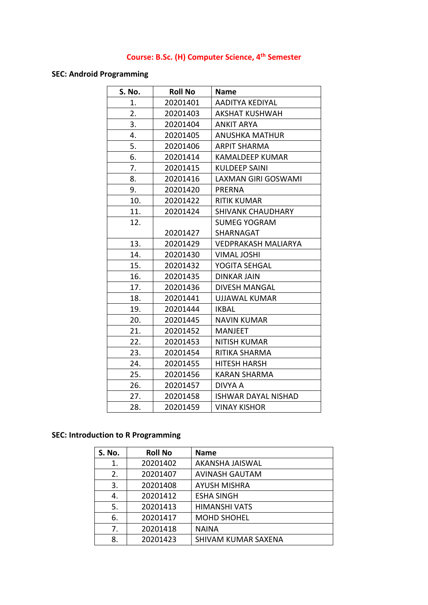# **Course: B.Sc. (H) Computer Science, 4th Semester**

### **SEC: Android Programming**

| S. No. | <b>Roll No</b> | <b>Name</b>                |
|--------|----------------|----------------------------|
| 1.     | 20201401       | AADITYA KEDIYAL            |
| 2.     | 20201403       | <b>AKSHAT KUSHWAH</b>      |
| 3.     | 20201404       | <b>ANKIT ARYA</b>          |
| 4.     | 20201405       | <b>ANUSHKA MATHUR</b>      |
| 5.     | 20201406       | <b>ARPIT SHARMA</b>        |
| 6.     | 20201414       | KAMALDEEP KUMAR            |
| 7.     | 20201415       | <b>KULDEEP SAINI</b>       |
| 8.     | 20201416       | <b>LAXMAN GIRI GOSWAMI</b> |
| 9.     | 20201420       | <b>PRERNA</b>              |
| 10.    | 20201422       | <b>RITIK KUMAR</b>         |
| 11.    | 20201424       | <b>SHIVANK CHAUDHARY</b>   |
| 12.    |                | <b>SUMEG YOGRAM</b>        |
|        | 20201427       | SHARNAGAT                  |
| 13.    | 20201429       | <b>VEDPRAKASH MALIARYA</b> |
| 14.    | 20201430       | <b>VIMAL JOSHI</b>         |
| 15.    | 20201432       | YOGITA SEHGAL              |
| 16.    | 20201435       | DINKAR JAIN                |
| 17.    | 20201436       | DIVESH MANGAL              |
| 18.    | 20201441       | <b>UJJAWAL KUMAR</b>       |
| 19.    | 20201444       | <b>IKBAL</b>               |
| 20.    | 20201445       | <b>NAVIN KUMAR</b>         |
| 21.    | 20201452       | <b>MANJEET</b>             |
| 22.    | 20201453       | <b>NITISH KUMAR</b>        |
| 23.    | 20201454       | RITIKA SHARMA              |
| 24.    | 20201455       | <b>HITESH HARSH</b>        |
| 25.    | 20201456       | <b>KARAN SHARMA</b>        |
| 26.    | 20201457       | <b>DIVYA A</b>             |
| 27.    | 20201458       | <b>ISHWAR DAYAL NISHAD</b> |
| 28.    | 20201459       | <b>VINAY KISHOR</b>        |

### **SEC: Introduction to R Programming**

| <b>S. No.</b> | <b>Roll No</b> | <b>Name</b>           |
|---------------|----------------|-----------------------|
| 1.            | 20201402       | AKANSHA JAISWAL       |
| 2.            | 20201407       | <b>AVINASH GAUTAM</b> |
| 3.            | 20201408       | <b>AYUSH MISHRA</b>   |
| 4.            | 20201412       | <b>ESHA SINGH</b>     |
| 5.            | 20201413       | <b>HIMANSHI VATS</b>  |
| 6.            | 20201417       | <b>MOHD SHOHEL</b>    |
| 7.            | 20201418       | <b>NAINA</b>          |
| 8.            | 20201423       | SHIVAM KUMAR SAXENA   |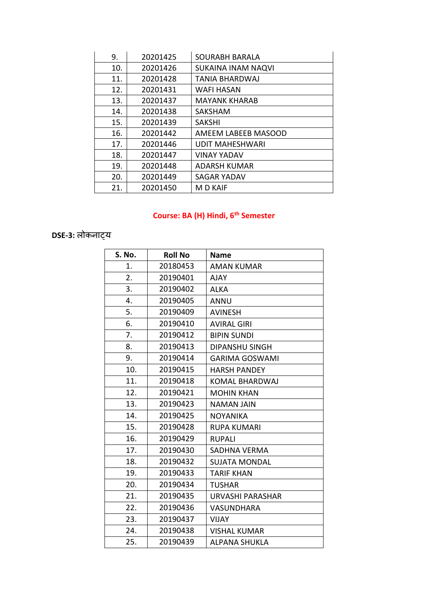| 9.  | 20201425 | <b>SOURABH BARALA</b>     |
|-----|----------|---------------------------|
| 10. | 20201426 | <b>SUKAINA INAM NAQVI</b> |
| 11. | 20201428 | <b>TANIA BHARDWAJ</b>     |
| 12. | 20201431 | <b>WAFI HASAN</b>         |
| 13. | 20201437 | <b>MAYANK KHARAB</b>      |
| 14. | 20201438 | <b>SAKSHAM</b>            |
| 15. | 20201439 | <b>SAKSHI</b>             |
| 16. | 20201442 | AMEEM LABEEB MASOOD       |
| 17. | 20201446 | <b>UDIT MAHESHWARI</b>    |
| 18. | 20201447 | <b>VINAY YADAV</b>        |
| 19. | 20201448 | <b>ADARSH KUMAR</b>       |
| 20. | 20201449 | <b>SAGAR YADAV</b>        |
| 21. | 20201450 | M D KAIF                  |

# **Course: BA (H) Hindi, 6th Semester**

# **DSE-3:** लोकनाट्य

| S. No. | <b>Roll No</b> | <b>Name</b>             |
|--------|----------------|-------------------------|
| 1.     | 20180453       | AMAN KUMAR              |
| 2.     | 20190401       | <b>AJAY</b>             |
| 3.     | 20190402       | ALKA                    |
| 4.     | 20190405       | ANNU                    |
| 5.     | 20190409       | <b>AVINESH</b>          |
| 6.     | 20190410       | <b>AVIRAL GIRI</b>      |
| 7.     | 20190412       | <b>BIPIN SUNDI</b>      |
| 8.     | 20190413       | <b>DIPANSHU SINGH</b>   |
| 9.     | 20190414       | <b>GARIMA GOSWAMI</b>   |
| 10.    | 20190415       | <b>HARSH PANDEY</b>     |
| 11.    | 20190418       | <b>KOMAL BHARDWAJ</b>   |
| 12.    | 20190421       | <b>MOHIN KHAN</b>       |
| 13.    | 20190423       | <b>NAMAN JAIN</b>       |
| 14.    | 20190425       | <b>NOYANIKA</b>         |
| 15.    | 20190428       | <b>RUPA KUMARI</b>      |
| 16.    | 20190429       | <b>RUPALI</b>           |
| 17.    | 20190430       | SADHNA VERMA            |
| 18.    | 20190432       | <b>SUJATA MONDAL</b>    |
| 19.    | 20190433       | <b>TARIF KHAN</b>       |
| 20.    | 20190434       | <b>TUSHAR</b>           |
| 21.    | 20190435       | <b>URVASHI PARASHAR</b> |
| 22.    | 20190436       | <b>VASUNDHARA</b>       |
| 23.    | 20190437       | <b>VIJAY</b>            |
| 24.    | 20190438       | <b>VISHAL KUMAR</b>     |
| 25.    | 20190439       | ALPANA SHUKLA           |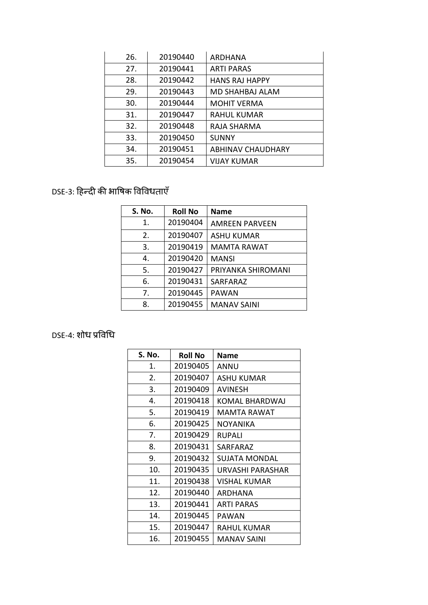| 26. | 20190440 | ARDHANA                  |
|-----|----------|--------------------------|
| 27. | 20190441 | <b>ARTI PARAS</b>        |
| 28. | 20190442 | <b>HANS RAJ HAPPY</b>    |
| 29. | 20190443 | <b>MD SHAHBAJ ALAM</b>   |
| 30. | 20190444 | <b>MOHIT VERMA</b>       |
| 31. | 20190447 | <b>RAHUL KUMAR</b>       |
| 32. | 20190448 | RAJA SHARMA              |
| 33. | 20190450 | <b>SUNNY</b>             |
| 34. | 20190451 | <b>ABHINAV CHAUDHARY</b> |
| 35. | 20190454 | VIJAY KUMAR              |

# DSE-3: हिन्दी की भाषिक षिषिधताएँ

| <b>S. No.</b> | <b>Roll No</b> | <b>Name</b>           |
|---------------|----------------|-----------------------|
| 1.            | 20190404       | <b>AMREEN PARVEEN</b> |
| 2.            | 20190407       | <b>ASHU KUMAR</b>     |
| 3.            | 20190419       | <b>MAMTA RAWAT</b>    |
| 4.            | 20190420       | <b>MANSI</b>          |
| 5.            | 20190427       | PRIYANKA SHIROMANI    |
| 6.            | 20190431       | SARFARAZ              |
| 7.            | 20190445       | <b>PAWAN</b>          |
| 8.            | 20190455       | <b>MANAV SAINI</b>    |

# DSE-4: शोध प्रविधि

| S. No. | <b>Roll No</b> | Name              |
|--------|----------------|-------------------|
| 1.     | 20190405       | ANNU              |
| 2.     | 20190407       | ASHU KUMAR        |
| 3.     | 20190409       | AVINESH           |
| 4.     | 20190418       | KOMAL BHARDWAJ    |
| 5.     | 20190419       | MAMTA RAWAT       |
| 6.     | 20190425       | NOYANIKA          |
| 7.     | 20190429       | RUPALI            |
| 8.     | 20190431       | SARFARAZ          |
| 9.     | 20190432       | SUJATA MONDAL     |
| 10.    | 20190435       | URVASHI PARASHAR  |
| 11.    | 20190438       | VISHAL KUMAR      |
| 12.    | 20190440       | ARDHANA           |
| 13.    | 20190441       | <b>ARTI PARAS</b> |
| 14.    | 20190445       | PAWAN             |
| 15.    | 20190447       | RAHUL KUMAR       |
| 16.    | 20190455       | MANAV SAINI       |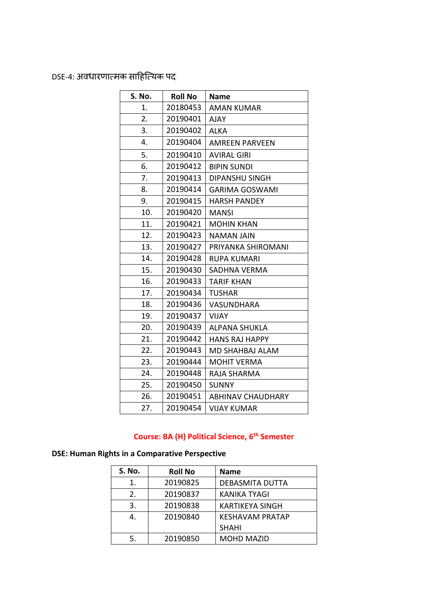DSE-4: अिधारणात्मक साहित्त्यक पद

| S. No. | <b>Roll No</b> | <b>Name</b>            |
|--------|----------------|------------------------|
| 1.     | 20180453       | <b>AMAN KUMAR</b>      |
| 2.     | 20190401       | AJAY                   |
| 3.     | 20190402       | <b>ALKA</b>            |
| 4.     | 20190404       | <b>AMREEN PARVEEN</b>  |
| 5.     | 20190410       | <b>AVIRAL GIRI</b>     |
| 6.     | 20190412       | <b>BIPIN SUNDI</b>     |
| 7.     | 20190413       | <b>DIPANSHU SINGH</b>  |
| 8.     | 20190414       | <b>GARIMA GOSWAMI</b>  |
| 9.     | 20190415       | <b>HARSH PANDEY</b>    |
| 10.    | 20190420       | <b>MANSI</b>           |
| 11.    | 20190421       | <b>MOHIN KHAN</b>      |
| 12.    | 20190423       | NAMAN JAIN             |
| 13.    | 20190427       | PRIYANKA SHIROMANI     |
| 14.    | 20190428       | RUPA KUMARI            |
| 15.    | 20190430       | SADHNA VERMA           |
| 16.    | 20190433       | TARIF KHAN             |
| 17.    | 20190434       | <b>TUSHAR</b>          |
| 18.    | 20190436       | VASUNDHARA             |
| 19.    | 20190437       | VIJAY                  |
| 20.    | 20190439       | <b>ALPANA SHUKLA</b>   |
| 21.    | 20190442       | <b>HANS RAJ HAPPY</b>  |
| 22.    | 20190443       | <b>MD SHAHBAJ ALAM</b> |
| 23.    | 20190444       | <b>MOHIT VERMA</b>     |
| 24.    | 20190448       | RAJA SHARMA            |
| 25.    | 20190450       | <b>SUNNY</b>           |
| 26.    | 20190451       | ABHINAV CHAUDHARY      |
| 27.    | 20190454       | <b>VIJAY KUMAR</b>     |

## **Course: BA (H) Political Science, 6th Semester**

## **DSE: Human Rights in a Comparative Perspective**

| <b>S. No.</b> | <b>Roll No</b> | <b>Name</b>            |
|---------------|----------------|------------------------|
| 1.            | 20190825       | <b>DEBASMITA DUTTA</b> |
| 2.            | 20190837       | <b>KANIKA TYAGI</b>    |
| 3.            | 20190838       | <b>KARTIKEYA SINGH</b> |
| 4.            | 20190840       | <b>KESHAVAM PRATAP</b> |
|               |                | <b>SHAHI</b>           |
| 5.            | 20190850       | <b>MOHD MAZID</b>      |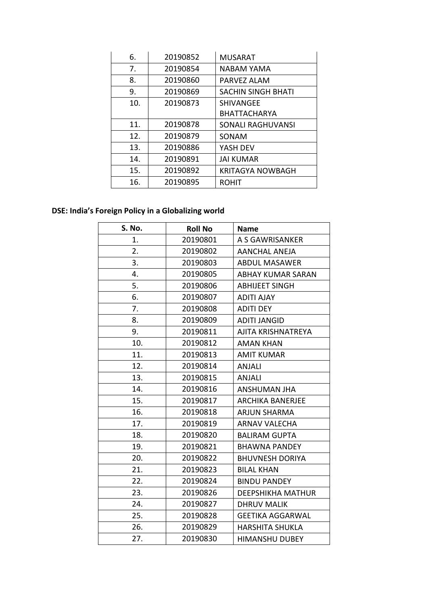| 6.  | 20190852 | <b>MUSARAT</b>            |
|-----|----------|---------------------------|
| 7.  | 20190854 | NABAM YAMA                |
| 8.  | 20190860 | PARVEZ ALAM               |
| 9.  | 20190869 | <b>SACHIN SINGH BHATI</b> |
| 10. | 20190873 | <b>SHIVANGEE</b>          |
|     |          | <b>BHATTACHARYA</b>       |
| 11. | 20190878 | SONALI RAGHUVANSI         |
| 12. | 20190879 | SONAM                     |
| 13. | 20190886 | YASH DEV                  |
| 14. | 20190891 | <b>JAI KUMAR</b>          |
| 15. | 20190892 | <b>KRITAGYA NOWBAGH</b>   |
| 16. | 20190895 | ROHIT                     |

# **DSE: India's Foreign Policy in a Globalizing world**

| S. No. | <b>Roll No</b> | <b>Name</b>              |
|--------|----------------|--------------------------|
| 1.     | 20190801       | A S GAWRISANKER          |
| 2.     | 20190802       | <b>AANCHAL ANEJA</b>     |
| 3.     | 20190803       | <b>ABDUL MASAWER</b>     |
| 4.     | 20190805       | <b>ABHAY KUMAR SARAN</b> |
| 5.     | 20190806       | <b>ABHIJEET SINGH</b>    |
| 6.     | 20190807       | <b>ADITI AJAY</b>        |
| 7.     | 20190808       | <b>ADITI DEY</b>         |
| 8.     | 20190809       | <b>ADITI JANGID</b>      |
| 9.     | 20190811       | AJITA KRISHNATREYA       |
| 10.    | 20190812       | <b>AMAN KHAN</b>         |
| 11.    | 20190813       | <b>AMIT KUMAR</b>        |
| 12.    | 20190814       | <b>ANJALI</b>            |
| 13.    | 20190815       | <b>ANJALI</b>            |
| 14.    | 20190816       | <b>ANSHUMAN JHA</b>      |
| 15.    | 20190817       | <b>ARCHIKA BANERJEE</b>  |
| 16.    | 20190818       | <b>ARJUN SHARMA</b>      |
| 17.    | 20190819       | <b>ARNAV VALECHA</b>     |
| 18.    | 20190820       | <b>BALIRAM GUPTA</b>     |
| 19.    | 20190821       | <b>BHAWNA PANDEY</b>     |
| 20.    | 20190822       | <b>BHUVNESH DORIYA</b>   |
| 21.    | 20190823       | <b>BILAL KHAN</b>        |
| 22.    | 20190824       | <b>BINDU PANDEY</b>      |
| 23.    | 20190826       | <b>DEEPSHIKHA MATHUR</b> |
| 24.    | 20190827       | <b>DHRUV MALIK</b>       |
| 25.    | 20190828       | <b>GEETIKA AGGARWAL</b>  |
| 26.    | 20190829       | <b>HARSHITA SHUKLA</b>   |
| 27.    | 20190830       | <b>HIMANSHU DUBEY</b>    |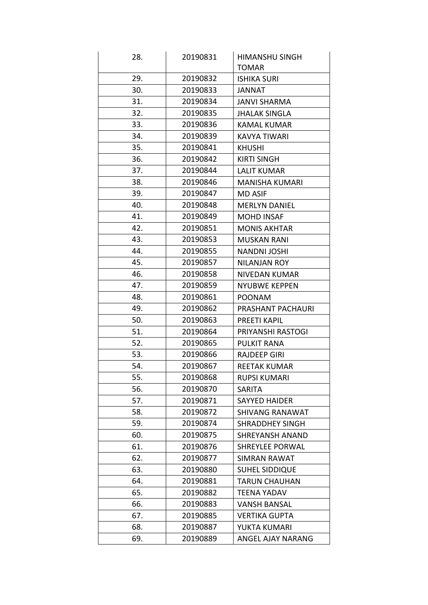| 28. | 20190831 | <b>HIMANSHU SINGH</b>  |
|-----|----------|------------------------|
|     |          | <b>TOMAR</b>           |
| 29. | 20190832 | <b>ISHIKA SURI</b>     |
| 30. | 20190833 | <b>TANNAT</b>          |
| 31. | 20190834 | <b>JANVI SHARMA</b>    |
| 32. | 20190835 | <b>JHALAK SINGLA</b>   |
| 33. | 20190836 | <b>KAMAL KUMAR</b>     |
| 34. | 20190839 | <b>KAVYA TIWARI</b>    |
| 35. | 20190841 | <b>KHUSHI</b>          |
| 36. | 20190842 | <b>KIRTI SINGH</b>     |
| 37. | 20190844 | <b>LALIT KUMAR</b>     |
| 38. | 20190846 | MANISHA KUMARI         |
| 39. | 20190847 | <b>MD ASIF</b>         |
| 40. | 20190848 | <b>MERLYN DANIEL</b>   |
| 41. | 20190849 | <b>MOHD INSAF</b>      |
| 42. | 20190851 | <b>MONIS AKHTAR</b>    |
| 43. | 20190853 | <b>MUSKAN RANI</b>     |
| 44. | 20190855 | <b>NANDNI JOSHI</b>    |
| 45. | 20190857 | NILANJAN ROY           |
| 46. | 20190858 | NIVEDAN KUMAR          |
| 47. | 20190859 | <b>NYUBWE KEPPEN</b>   |
| 48. | 20190861 | <b>POONAM</b>          |
| 49. | 20190862 | PRASHANT PACHAURI      |
| 50. | 20190863 | <b>PREETI KAPIL</b>    |
| 51. | 20190864 | PRIYANSHI RASTOGI      |
| 52. | 20190865 | <b>PULKIT RANA</b>     |
| 53. | 20190866 | <b>RAJDEEP GIRI</b>    |
| 54. | 20190867 | <b>REETAK KUMAR</b>    |
| 55. | 20190868 | <b>RUPSI KUMARI</b>    |
| 56. | 20190870 | SARITA                 |
| 57. | 20190871 | <b>SAYYED HAIDER</b>   |
| 58. | 20190872 | <b>SHIVANG RANAWAT</b> |
| 59. | 20190874 | <b>SHRADDHEY SINGH</b> |
| 60. | 20190875 | <b>SHREYANSH ANAND</b> |
| 61. | 20190876 | <b>SHREYLEE PORWAL</b> |
| 62. | 20190877 | <b>SIMRAN RAWAT</b>    |
| 63. | 20190880 | <b>SUHEL SIDDIQUE</b>  |
| 64. | 20190881 | <b>TARUN CHAUHAN</b>   |
| 65. | 20190882 | TEENA YADAV            |
| 66. | 20190883 | <b>VANSH BANSAL</b>    |
| 67. | 20190885 | <b>VERTIKA GUPTA</b>   |
| 68. | 20190887 | YUKTA KUMARI           |
| 69. | 20190889 | ANGEL AJAY NARANG      |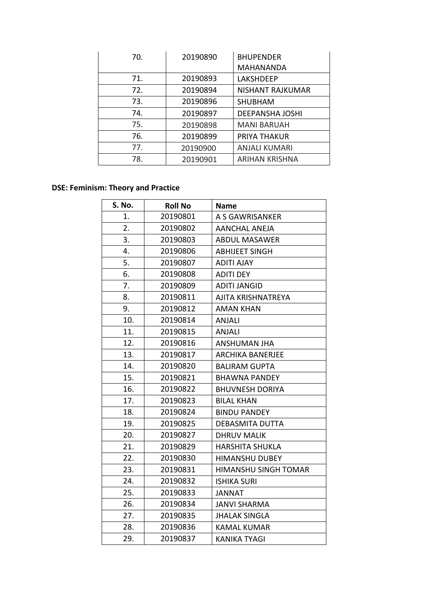| 70. | 20190890 | <b>BHUPENDER</b>       |
|-----|----------|------------------------|
|     |          | <b>MAHANANDA</b>       |
| 71. | 20190893 | <b>LAKSHDEEP</b>       |
| 72. | 20190894 | NISHANT RAJKUMAR       |
| 73. | 20190896 | <b>SHUBHAM</b>         |
| 74. | 20190897 | <b>DEEPANSHA JOSHI</b> |
| 75. | 20190898 | <b>MANI BARUAH</b>     |
| 76. | 20190899 | PRIYA THAKUR           |
| 77. | 20190900 | <b>ANJALI KUMARI</b>   |
| 78. | 20190901 | <b>ARIHAN KRISHNA</b>  |

## **DSE: Feminism: Theory and Practice**

| S. No. | <b>Roll No</b> | <b>Name</b>             |
|--------|----------------|-------------------------|
| 1.     | 20190801       | A S GAWRISANKER         |
| 2.     | 20190802       | <b>AANCHAL ANEJA</b>    |
| 3.     | 20190803       | <b>ABDUL MASAWER</b>    |
| 4.     | 20190806       | <b>ABHIJEET SINGH</b>   |
| 5.     | 20190807       | <b>ADITI AJAY</b>       |
| 6.     | 20190808       | <b>ADITI DEY</b>        |
| 7.     | 20190809       | <b>ADITI JANGID</b>     |
| 8.     | 20190811       | AJITA KRISHNATREYA      |
| 9.     | 20190812       | <b>AMAN KHAN</b>        |
| 10.    | 20190814       | <b>ANJALI</b>           |
| 11.    | 20190815       | <b>ANJALI</b>           |
| 12.    | 20190816       | <b>ANSHUMAN JHA</b>     |
| 13.    | 20190817       | <b>ARCHIKA BANERJEE</b> |
| 14.    | 20190820       | <b>BALIRAM GUPTA</b>    |
| 15.    | 20190821       | <b>BHAWNA PANDEY</b>    |
| 16.    | 20190822       | <b>BHUVNESH DORIYA</b>  |
| 17.    | 20190823       | <b>BILAL KHAN</b>       |
| 18.    | 20190824       | <b>BINDU PANDEY</b>     |
| 19.    | 20190825       | <b>DEBASMITA DUTTA</b>  |
| 20.    | 20190827       | <b>DHRUV MALIK</b>      |
| 21.    | 20190829       | <b>HARSHITA SHUKLA</b>  |
| 22.    | 20190830       | <b>HIMANSHU DUBEY</b>   |
| 23.    | 20190831       | HIMANSHU SINGH TOMAR    |
| 24.    | 20190832       | <b>ISHIKA SURI</b>      |
| 25.    | 20190833       | <b>JANNAT</b>           |
| 26.    | 20190834       | <b>JANVI SHARMA</b>     |
| 27.    | 20190835       | <b>JHALAK SINGLA</b>    |
| 28.    | 20190836       | <b>KAMAL KUMAR</b>      |
| 29.    | 20190837       | <b>KANIKA TYAGI</b>     |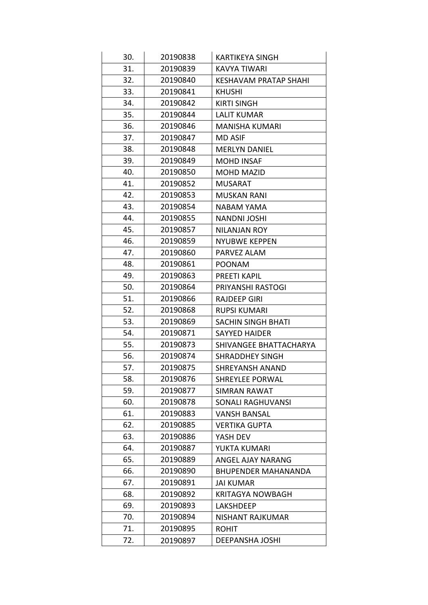| 30. | 20190838 | <b>KARTIKEYA SINGH</b>       |
|-----|----------|------------------------------|
| 31. | 20190839 | <b>KAVYA TIWARI</b>          |
| 32. | 20190840 | <b>KESHAVAM PRATAP SHAHI</b> |
| 33. | 20190841 | <b>KHUSHI</b>                |
| 34. | 20190842 | <b>KIRTI SINGH</b>           |
| 35. | 20190844 | <b>LALIT KUMAR</b>           |
| 36. | 20190846 | <b>MANISHA KUMARI</b>        |
| 37. | 20190847 | <b>MD ASIF</b>               |
| 38. | 20190848 | <b>MERLYN DANIEL</b>         |
| 39. | 20190849 | <b>MOHD INSAF</b>            |
| 40. | 20190850 | <b>MOHD MAZID</b>            |
| 41. | 20190852 | <b>MUSARAT</b>               |
| 42. | 20190853 | <b>MUSKAN RANI</b>           |
| 43. | 20190854 | <b>NABAM YAMA</b>            |
| 44. | 20190855 | <b>NANDNI JOSHI</b>          |
| 45. | 20190857 | <b>NILANJAN ROY</b>          |
| 46. | 20190859 | <b>NYUBWE KEPPEN</b>         |
| 47. | 20190860 | PARVEZ ALAM                  |
| 48. | 20190861 | <b>POONAM</b>                |
| 49. | 20190863 | <b>PREETI KAPIL</b>          |
| 50. | 20190864 | PRIYANSHI RASTOGI            |
| 51. | 20190866 | <b>RAJDEEP GIRI</b>          |
| 52. | 20190868 | <b>RUPSI KUMARI</b>          |
| 53. | 20190869 | <b>SACHIN SINGH BHATI</b>    |
| 54. | 20190871 | <b>SAYYED HAIDER</b>         |
| 55. | 20190873 | SHIVANGEE BHATTACHARYA       |
| 56. | 20190874 | <b>SHRADDHEY SINGH</b>       |
| 57. | 20190875 | <b>SHREYANSH ANAND</b>       |
| 58. | 20190876 | <b>SHREYLEE PORWAL</b>       |
| 59. | 20190877 | <b>SIMRAN RAWAT</b>          |
| 60. | 20190878 | SONALI RAGHUVANSI            |
| 61. | 20190883 | <b>VANSH BANSAL</b>          |
| 62. | 20190885 | <b>VERTIKA GUPTA</b>         |
| 63. | 20190886 | YASH DEV                     |
| 64. | 20190887 | YUKTA KUMARI                 |
| 65. | 20190889 | ANGEL AJAY NARANG            |
| 66. | 20190890 | <b>BHUPENDER MAHANANDA</b>   |
| 67. | 20190891 | <b>JAI KUMAR</b>             |
| 68. | 20190892 | <b>KRITAGYA NOWBAGH</b>      |
| 69. | 20190893 | <b>LAKSHDEEP</b>             |
| 70. | 20190894 | NISHANT RAJKUMAR             |
| 71. | 20190895 | <b>ROHIT</b>                 |
| 72. | 20190897 | DEEPANSHA JOSHI              |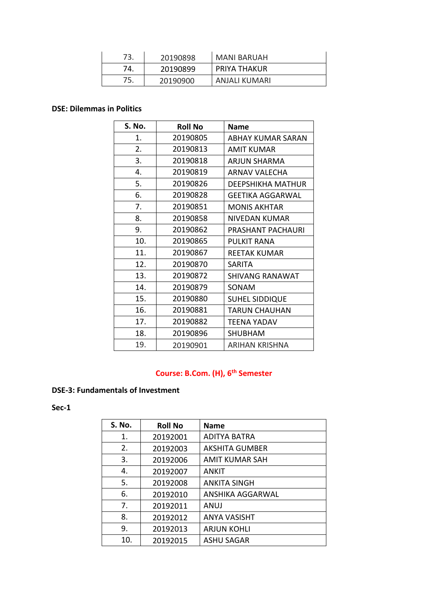| 73. | 20190898 | <b>MANI BARUAH</b>  |
|-----|----------|---------------------|
| 74. | 20190899 | <b>PRIYA THAKUR</b> |
| 75. | 20190900 | ANJALI KUMARI       |

#### **DSE: Dilemmas in Politics**

| S. No. | <b>Roll No</b> | <b>Name</b>              |
|--------|----------------|--------------------------|
| 1.     | 20190805       | ABHAY KUMAR SARAN        |
| 2.     | 20190813       | AMIT KUMAR               |
| 3.     | 20190818       | <b>ARJUN SHARMA</b>      |
| 4.     | 20190819       | ARNAV VALECHA            |
| 5.     | 20190826       | <b>DEEPSHIKHA MATHUR</b> |
| 6.     | 20190828       | <b>GEETIKA AGGARWAL</b>  |
| 7.     | 20190851       | <b>MONIS AKHTAR</b>      |
| 8.     | 20190858       | NIVEDAN KUMAR            |
| 9.     | 20190862       | PRASHANT PACHAURI        |
| 10.    | 20190865       | <b>PULKIT RANA</b>       |
| 11.    | 20190867       | <b>REETAK KUMAR</b>      |
| 12.    | 20190870       | SARITA                   |
| 13.    | 20190872       | <b>SHIVANG RANAWAT</b>   |
| 14.    | 20190879       | SONAM                    |
| 15.    | 20190880       | <b>SUHEL SIDDIQUE</b>    |
| 16.    | 20190881       | <b>TARUN CHAUHAN</b>     |
| 17.    | 20190882       | <b>TEENA YADAV</b>       |
| 18.    | 20190896       | <b>SHUBHAM</b>           |
| 19.    | 20190901       | ARIHAN KRISHNA           |

## **Course: B.Com. (H), 6th Semester**

#### **DSE-3: Fundamentals of Investment**

**Sec-1**

| <b>S. No.</b>  | <b>Roll No</b> | <b>Name</b>           |
|----------------|----------------|-----------------------|
| 1.             | 20192001       | ADITYA BATRA          |
| 2.             | 20192003       | <b>AKSHITA GUMBER</b> |
| 3.             | 20192006       | <b>AMIT KUMAR SAH</b> |
| 4.             | 20192007       | <b>ANKIT</b>          |
| 5.             | 20192008       | <b>ANKITA SINGH</b>   |
| 6.             | 20192010       | ANSHIKA AGGARWAL      |
| 7 <sub>1</sub> | 20192011       | ANUJ                  |
| 8.             | 20192012       | <b>ANYA VASISHT</b>   |
| 9.             | 20192013       | <b>ARJUN KOHLI</b>    |
| 10.            | 20192015       | <b>ASHU SAGAR</b>     |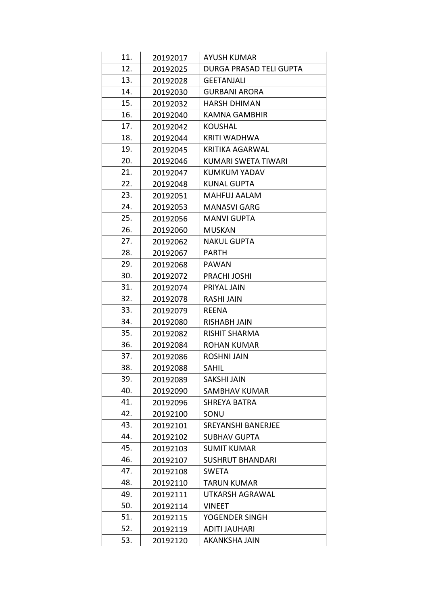| 11. | 20192017 | <b>AYUSH KUMAR</b>             |
|-----|----------|--------------------------------|
| 12. | 20192025 | <b>DURGA PRASAD TELI GUPTA</b> |
| 13. | 20192028 | <b>GEETANJALI</b>              |
| 14. | 20192030 | <b>GURBANI ARORA</b>           |
| 15. | 20192032 | <b>HARSH DHIMAN</b>            |
| 16. | 20192040 | <b>KAMNA GAMBHIR</b>           |
| 17. | 20192042 | <b>KOUSHAL</b>                 |
| 18. | 20192044 | <b>KRITI WADHWA</b>            |
| 19. | 20192045 | <b>KRITIKA AGARWAL</b>         |
| 20. | 20192046 | <b>KUMARI SWETA TIWARI</b>     |
| 21. | 20192047 | KUMKUM YADAV                   |
| 22. | 20192048 | <b>KUNAL GUPTA</b>             |
| 23. | 20192051 | MAHFUJ AALAM                   |
| 24. | 20192053 | <b>MANASVI GARG</b>            |
| 25. | 20192056 | <b>MANVI GUPTA</b>             |
| 26. | 20192060 | <b>MUSKAN</b>                  |
| 27. | 20192062 | <b>NAKUL GUPTA</b>             |
| 28. | 20192067 | <b>PARTH</b>                   |
| 29. | 20192068 | <b>PAWAN</b>                   |
| 30. | 20192072 | PRACHI JOSHI                   |
| 31. | 20192074 | PRIYAL JAIN                    |
| 32. | 20192078 | RASHI JAIN                     |
| 33. | 20192079 | <b>REENA</b>                   |
| 34. | 20192080 | <b>RISHABH JAIN</b>            |
| 35. | 20192082 | <b>RISHIT SHARMA</b>           |
| 36. | 20192084 | <b>ROHAN KUMAR</b>             |
| 37. | 20192086 | <b>ROSHNI JAIN</b>             |
| 38. | 20192088 | <b>SAHIL</b>                   |
| 39. | 20192089 | <b>SAKSHI JAIN</b>             |
| 40. | 20192090 | SAMBHAV KUMAR                  |
| 41. | 20192096 | <b>SHREYA BATRA</b>            |
| 42. | 20192100 | SONU                           |
| 43. | 20192101 | <b>SREYANSHI BANERJEE</b>      |
| 44. | 20192102 | <b>SUBHAV GUPTA</b>            |
| 45. | 20192103 | <b>SUMIT KUMAR</b>             |
| 46. | 20192107 | <b>SUSHRUT BHANDARI</b>        |
| 47. | 20192108 | <b>SWETA</b>                   |
| 48. | 20192110 | <b>TARUN KUMAR</b>             |
| 49. | 20192111 | UTKARSH AGRAWAL                |
| 50. | 20192114 | <b>VINEET</b>                  |
| 51. | 20192115 | YOGENDER SINGH                 |
| 52. | 20192119 | <b>ADITI JAUHARI</b>           |
| 53. | 20192120 | <b>AKANKSHA JAIN</b>           |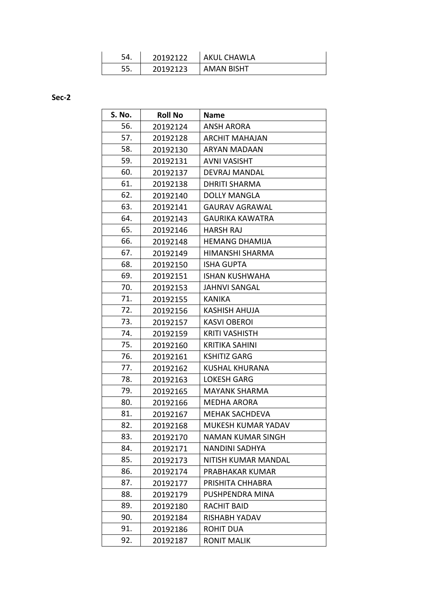| 54. | 20192122 | <b>AKUL CHAWLA</b> |
|-----|----------|--------------------|
| 55. | 20192123 | <b>AMAN BISHT</b>  |

**Sec-2**

| S. No. | <b>Roll No</b> | <b>Name</b>              |
|--------|----------------|--------------------------|
| 56.    | 20192124       | ANSH ARORA               |
| 57.    | 20192128       | <b>ARCHIT MAHAJAN</b>    |
| 58.    | 20192130       | ARYAN MADAAN             |
| 59.    | 20192131       | <b>AVNI VASISHT</b>      |
| 60.    | 20192137       | <b>DEVRAJ MANDAL</b>     |
| 61.    | 20192138       | <b>DHRITI SHARMA</b>     |
| 62.    | 20192140       | <b>DOLLY MANGLA</b>      |
| 63.    | 20192141       | <b>GAURAV AGRAWAL</b>    |
| 64.    | 20192143       | <b>GAURIKA KAWATRA</b>   |
| 65.    | 20192146       | <b>HARSH RAJ</b>         |
| 66.    | 20192148       | <b>HEMANG DHAMIJA</b>    |
| 67.    | 20192149       | HIMANSHI SHARMA          |
| 68.    | 20192150       | <b>ISHA GUPTA</b>        |
| 69.    | 20192151       | <b>ISHAN KUSHWAHA</b>    |
| 70.    | 20192153       | <b>JAHNVI SANGAL</b>     |
| 71.    | 20192155       | <b>KANIKA</b>            |
| 72.    | 20192156       | <b>KASHISH AHUJA</b>     |
| 73.    | 20192157       | <b>KASVI OBEROI</b>      |
| 74.    | 20192159       | <b>KRITI VASHISTH</b>    |
| 75.    | 20192160       | <b>KRITIKA SAHINI</b>    |
| 76.    | 20192161       | <b>KSHITIZ GARG</b>      |
| 77.    | 20192162       | <b>KUSHAL KHURANA</b>    |
| 78.    | 20192163       | <b>LOKESH GARG</b>       |
| 79.    | 20192165       | <b>MAYANK SHARMA</b>     |
| 80.    | 20192166       | <b>MEDHA ARORA</b>       |
| 81.    | 20192167       | <b>MEHAK SACHDEVA</b>    |
| 82.    | 20192168       | MUKESH KUMAR YADAV       |
| 83.    | 20192170       | <b>NAMAN KUMAR SINGH</b> |
| 84.    | 20192171       | <b>NANDINI SADHYA</b>    |
| 85.    | 20192173       | NITISH KUMAR MANDAL      |
| 86.    | 20192174       | PRABHAKAR KUMAR          |
| 87.    | 20192177       | PRISHITA CHHABRA         |
| 88.    | 20192179       | PUSHPENDRA MINA          |
| 89.    | 20192180       | <b>RACHIT BAID</b>       |
| 90.    | 20192184       | RISHABH YADAV            |
| 91.    | 20192186       | <b>ROHIT DUA</b>         |
| 92.    | 20192187       | <b>RONIT MALIK</b>       |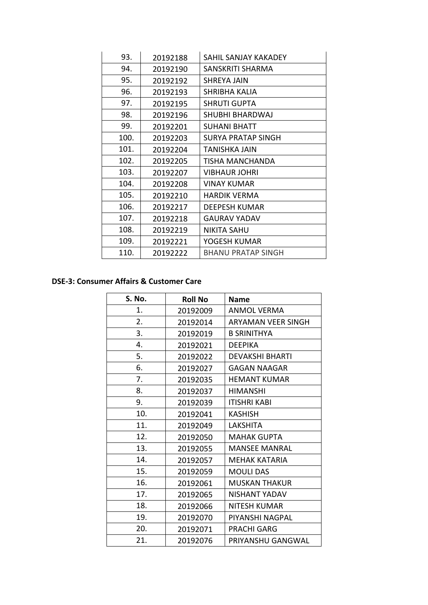| 93.  | 20192188 | SAHIL SANJAY KAKADEY      |
|------|----------|---------------------------|
| 94.  | 20192190 | SANSKRITI SHARMA          |
| 95.  | 20192192 | <b>SHREYA JAIN</b>        |
| 96.  | 20192193 | SHRIBHA KALIA             |
| 97.  | 20192195 | SHRUTI GUPTA              |
| 98.  | 20192196 | SHUBHI BHARDWAJ           |
| 99.  | 20192201 | <b>SUHANI BHATT</b>       |
| 100. | 20192203 | SURYA PRATAP SINGH        |
| 101. | 20192204 | TANISHKA JAIN             |
| 102. | 20192205 | TISHA MANCHANDA           |
| 103. | 20192207 | <b>VIBHAUR JOHRI</b>      |
| 104. | 20192208 | VINAY KUMAR               |
| 105. | 20192210 | HARDIK VERMA              |
| 106. | 20192217 | DEEPESH KUMAR             |
| 107. | 20192218 | <b>GAURAV YADAV</b>       |
| 108. | 20192219 | <b>NIKITA SAHU</b>        |
| 109. | 20192221 | YOGESH KUMAR              |
| 110. | 20192222 | <b>BHANU PRATAP SINGH</b> |

#### **DSE-3: Consumer Affairs & Customer Care**

| S. No. | <b>Roll No</b> | <b>Name</b>               |
|--------|----------------|---------------------------|
| 1.     | 20192009       | <b>ANMOL VERMA</b>        |
| 2.     | 20192014       | <b>ARYAMAN VEER SINGH</b> |
| 3.     | 20192019       | <b>B SRINITHYA</b>        |
| 4.     | 20192021       | <b>DEEPIKA</b>            |
| 5.     | 20192022       | <b>DEVAKSHI BHARTI</b>    |
| 6.     | 20192027       | <b>GAGAN NAAGAR</b>       |
| 7.     | 20192035       | <b>HEMANT KUMAR</b>       |
| 8.     | 20192037       | <b>HIMANSHI</b>           |
| 9.     | 20192039       | <b>ITISHRI KABI</b>       |
| 10.    | 20192041       | <b>KASHISH</b>            |
| 11.    | 20192049       | LAKSHITA                  |
| 12.    | 20192050       | <b>MAHAK GUPTA</b>        |
| 13.    | 20192055       | <b>MANSEE MANRAL</b>      |
| 14.    | 20192057       | MEHAK KATARIA             |
| 15.    | 20192059       | <b>MOULI DAS</b>          |
| 16.    | 20192061       | <b>MUSKAN THAKUR</b>      |
| 17.    | 20192065       | NISHANT YADAV             |
| 18.    | 20192066       | <b>NITESH KUMAR</b>       |
| 19.    | 20192070       | PIYANSHI NAGPAL           |
| 20.    | 20192071       | <b>PRACHI GARG</b>        |
| 21.    | 20192076       | PRIYANSHU GANGWAL         |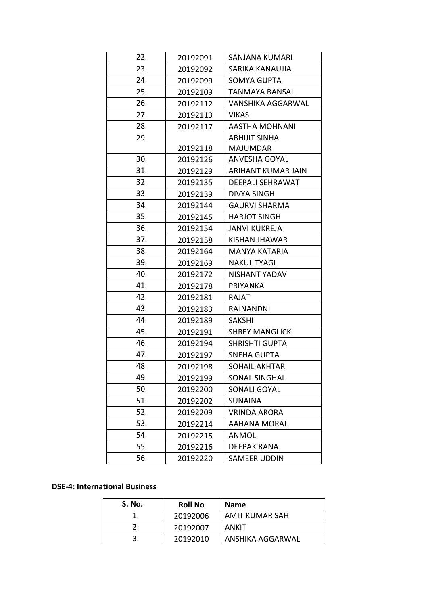| 22. | 20192091 | SANJANA KUMARI          |
|-----|----------|-------------------------|
| 23. | 20192092 | SARIKA KANAUJIA         |
| 24. | 20192099 | SOMYA GUPTA             |
| 25. | 20192109 | TANMAYA BANSAL          |
| 26. | 20192112 | VANSHIKA AGGARWAL       |
| 27. | 20192113 | <b>VIKAS</b>            |
| 28. | 20192117 | <b>AASTHA MOHNANI</b>   |
| 29. |          | ABHIJIT SINHA           |
|     | 20192118 | <b>MAJUMDAR</b>         |
| 30. | 20192126 | <b>ANVESHA GOYAL</b>    |
| 31. | 20192129 | ARIHANT KUMAR JAIN      |
| 32. | 20192135 | <b>DEEPALI SEHRAWAT</b> |
| 33. | 20192139 | <b>DIVYA SINGH</b>      |
| 34. | 20192144 | <b>GAURVI SHARMA</b>    |
| 35. | 20192145 | <b>HARJOT SINGH</b>     |
| 36. | 20192154 | <b>JANVI KUKREJA</b>    |
| 37. | 20192158 | KISHAN JHAWAR           |
| 38. | 20192164 | MANYA KATARIA           |
| 39. | 20192169 | <b>NAKUL TYAGI</b>      |
| 40. | 20192172 | NISHANT YADAV           |
| 41. | 20192178 | <b>PRIYANKA</b>         |
| 42. | 20192181 | RAJAT                   |
| 43. | 20192183 | RAJNANDNI               |
| 44. | 20192189 | <b>SAKSHI</b>           |
| 45. | 20192191 | <b>SHREY MANGLICK</b>   |
| 46. | 20192194 | <b>SHRISHTI GUPTA</b>   |
| 47. | 20192197 | <b>SNEHA GUPTA</b>      |
| 48. | 20192198 | SOHAIL AKHTAR           |
| 49. | 20192199 | SONAL SINGHAL           |
| 50. | 20192200 | SONALI GOYAL            |
| 51. | 20192202 | <b>SUNAINA</b>          |
| 52. | 20192209 | <b>VRINDA ARORA</b>     |
| 53. | 20192214 | <b>AAHANA MORAL</b>     |
| 54. | 20192215 | ANMOL                   |
| 55. | 20192216 | <b>DEEPAK RANA</b>      |
| 56. | 20192220 | SAMEER UDDIN            |
|     |          |                         |

#### **DSE-4: International Business**

| S. No. | <b>Roll No</b> | <b>Name</b>      |
|--------|----------------|------------------|
|        | 20192006       | AMIT KUMAR SAH   |
|        | 20192007       | ANKIT            |
|        | 20192010       | ANSHIKA AGGARWAL |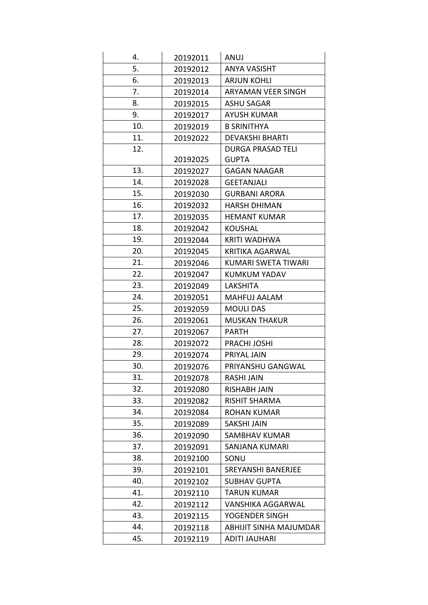| 4.  | 20192011 | ANUJ                       |
|-----|----------|----------------------------|
| 5.  | 20192012 | ANYA VASISHT               |
| 6.  | 20192013 | <b>ARJUN KOHLI</b>         |
| 7.  | 20192014 | ARYAMAN VEER SINGH         |
| 8.  | 20192015 | <b>ASHU SAGAR</b>          |
| 9.  | 20192017 | <b>AYUSH KUMAR</b>         |
| 10. | 20192019 | <b>B SRINITHYA</b>         |
| 11. | 20192022 | <b>DEVAKSHI BHARTI</b>     |
| 12. |          | <b>DURGA PRASAD TELI</b>   |
|     | 20192025 | <b>GUPTA</b>               |
| 13. | 20192027 | <b>GAGAN NAAGAR</b>        |
| 14. | 20192028 | <b>GEETANJALI</b>          |
| 15. | 20192030 | <b>GURBANI ARORA</b>       |
| 16. | 20192032 | <b>HARSH DHIMAN</b>        |
| 17. | 20192035 | <b>HEMANT KUMAR</b>        |
| 18. | 20192042 | KOUSHAL                    |
| 19. | 20192044 | <b>KRITI WADHWA</b>        |
| 20. | 20192045 | <b>KRITIKA AGARWAL</b>     |
| 21. | 20192046 | <b>KUMARI SWETA TIWARI</b> |
| 22. | 20192047 | <b>KUMKUM YADAV</b>        |
| 23. | 20192049 | <b>LAKSHITA</b>            |
| 24. | 20192051 | MAHFUJ AALAM               |
| 25. | 20192059 | <b>MOULI DAS</b>           |
| 26. | 20192061 | <b>MUSKAN THAKUR</b>       |
| 27. | 20192067 | <b>PARTH</b>               |
| 28. | 20192072 | PRACHI JOSHI               |
| 29. | 20192074 | PRIYAL JAIN                |
| 30. | 20192076 | PRIYANSHU GANGWAL          |
| 31. | 20192078 | <b>RASHI JAIN</b>          |
| 32. | 20192080 | <b>RISHABH JAIN</b>        |
| 33. | 20192082 | <b>RISHIT SHARMA</b>       |
| 34. | 20192084 | <b>ROHAN KUMAR</b>         |
| 35. | 20192089 | <b>SAKSHI JAIN</b>         |
| 36. | 20192090 | SAMBHAV KUMAR              |
| 37. | 20192091 | SANJANA KUMARI             |
| 38. | 20192100 | SONU                       |
| 39. | 20192101 | SREYANSHI BANERJEE         |
| 40. | 20192102 | <b>SUBHAV GUPTA</b>        |
| 41. | 20192110 | <b>TARUN KUMAR</b>         |
| 42. | 20192112 | <b>VANSHIKA AGGARWAL</b>   |
| 43. | 20192115 | YOGENDER SINGH             |
| 44. | 20192118 | ABHIJIT SINHA MAJUMDAR     |
| 45. | 20192119 | ADITI JAUHARI              |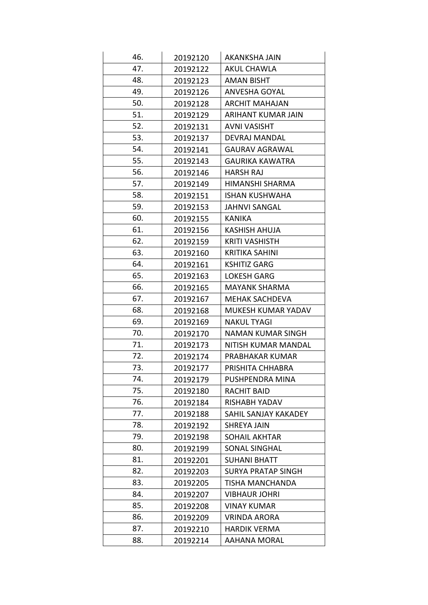| 46. | 20192120 | AKANKSHA JAIN             |
|-----|----------|---------------------------|
| 47. | 20192122 | <b>AKUL CHAWLA</b>        |
| 48. | 20192123 | <b>AMAN BISHT</b>         |
| 49. | 20192126 | ANVESHA GOYAL             |
| 50. | 20192128 | <b>ARCHIT MAHAJAN</b>     |
| 51. | 20192129 | ARIHANT KUMAR JAIN        |
| 52. | 20192131 | <b>AVNI VASISHT</b>       |
| 53. | 20192137 | DEVRAJ MANDAL             |
| 54. | 20192141 | <b>GAURAV AGRAWAL</b>     |
| 55. | 20192143 | <b>GAURIKA KAWATRA</b>    |
| 56. | 20192146 | <b>HARSH RAJ</b>          |
| 57. | 20192149 | HIMANSHI SHARMA           |
| 58. | 20192151 | <b>ISHAN KUSHWAHA</b>     |
| 59. | 20192153 | <b>JAHNVI SANGAL</b>      |
| 60. | 20192155 | KANIKA                    |
| 61. | 20192156 | KASHISH AHUJA             |
| 62. | 20192159 | <b>KRITI VASHISTH</b>     |
| 63. | 20192160 | <b>KRITIKA SAHINI</b>     |
| 64. | 20192161 | <b>KSHITIZ GARG</b>       |
| 65. | 20192163 | <b>LOKESH GARG</b>        |
| 66. | 20192165 | <b>MAYANK SHARMA</b>      |
| 67. | 20192167 | <b>MEHAK SACHDEVA</b>     |
| 68. | 20192168 | MUKESH KUMAR YADAV        |
| 69. | 20192169 | <b>NAKUL TYAGI</b>        |
| 70. | 20192170 | NAMAN KUMAR SINGH         |
| 71. | 20192173 | NITISH KUMAR MANDAL       |
| 72. | 20192174 | PRABHAKAR KUMAR           |
| 73. | 20192177 | PRISHITA CHHABRA          |
| 74. | 20192179 | PUSHPENDRA MINA           |
| 75. | 20192180 | RACHIT BAID               |
| 76. | 20192184 | <b>RISHABH YADAV</b>      |
| 77. | 20192188 | SAHIL SANJAY KAKADEY      |
| 78. | 20192192 | <b>SHREYA JAIN</b>        |
| 79. | 20192198 | <b>SOHAIL AKHTAR</b>      |
| 80. | 20192199 | SONAL SINGHAL             |
| 81. | 20192201 | <b>SUHANI BHATT</b>       |
| 82. | 20192203 | <b>SURYA PRATAP SINGH</b> |
| 83. | 20192205 | TISHA MANCHANDA           |
| 84. | 20192207 | <b>VIBHAUR JOHRI</b>      |
| 85. | 20192208 | <b>VINAY KUMAR</b>        |
| 86. | 20192209 | <b>VRINDA ARORA</b>       |
| 87. | 20192210 | <b>HARDIK VERMA</b>       |
| 88. | 20192214 | <b>AAHANA MORAL</b>       |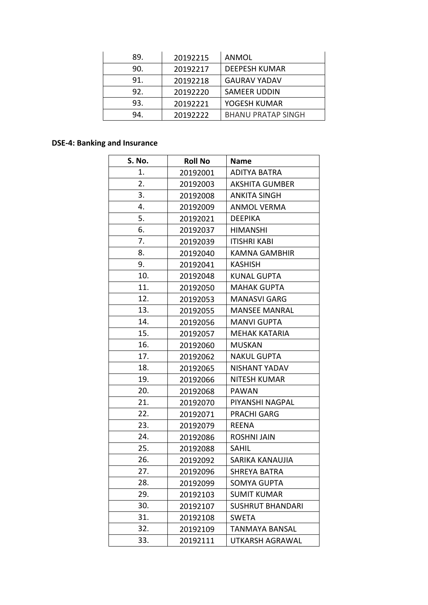| 89. | 20192215 | ANMOL                     |
|-----|----------|---------------------------|
| 90. | 20192217 | <b>DEEPESH KUMAR</b>      |
| 91. | 20192218 | <b>GAURAV YADAV</b>       |
| 92. | 20192220 | SAMEER UDDIN              |
| 93. | 20192221 | YOGESH KUMAR              |
| 94. | 20192222 | <b>BHANU PRATAP SINGH</b> |

### **DSE-4: Banking and Insurance**

| S. No. | <b>Roll No</b> | <b>Name</b>             |
|--------|----------------|-------------------------|
| 1.     | 20192001       | <b>ADITYA BATRA</b>     |
| 2.     | 20192003       | <b>AKSHITA GUMBER</b>   |
| 3.     | 20192008       | <b>ANKITA SINGH</b>     |
| 4.     | 20192009       | <b>ANMOL VERMA</b>      |
| 5.     | 20192021       | <b>DEEPIKA</b>          |
| 6.     | 20192037       | <b>HIMANSHI</b>         |
| 7.     | 20192039       | <b>ITISHRI KABI</b>     |
| 8.     | 20192040       | <b>KAMNA GAMBHIR</b>    |
| 9.     | 20192041       | <b>KASHISH</b>          |
| 10.    | 20192048       | <b>KUNAL GUPTA</b>      |
| 11.    | 20192050       | <b>MAHAK GUPTA</b>      |
| 12.    | 20192053       | <b>MANASVI GARG</b>     |
| 13.    | 20192055       | <b>MANSEE MANRAL</b>    |
| 14.    | 20192056       | <b>MANVI GUPTA</b>      |
| 15.    | 20192057       | MEHAK KATARIA           |
| 16.    | 20192060       | <b>MUSKAN</b>           |
| 17.    | 20192062       | <b>NAKUL GUPTA</b>      |
| 18.    | 20192065       | NISHANT YADAV           |
| 19.    | 20192066       | <b>NITESH KUMAR</b>     |
| 20.    | 20192068       | <b>PAWAN</b>            |
| 21.    | 20192070       | PIYANSHI NAGPAL         |
| 22.    | 20192071       | <b>PRACHI GARG</b>      |
| 23.    | 20192079       | <b>REENA</b>            |
| 24.    | 20192086       | <b>ROSHNI JAIN</b>      |
| 25.    | 20192088       | <b>SAHIL</b>            |
| 26.    | 20192092       | SARIKA KANAUJIA         |
| 27.    | 20192096       | <b>SHREYA BATRA</b>     |
| 28.    | 20192099       | <b>SOMYA GUPTA</b>      |
| 29.    | 20192103       | <b>SUMIT KUMAR</b>      |
| 30.    | 20192107       | <b>SUSHRUT BHANDARI</b> |
| 31.    | 20192108       | <b>SWETA</b>            |
| 32.    | 20192109       | TANMAYA BANSAL          |
| 33.    | 20192111       | UTKARSH AGRAWAL         |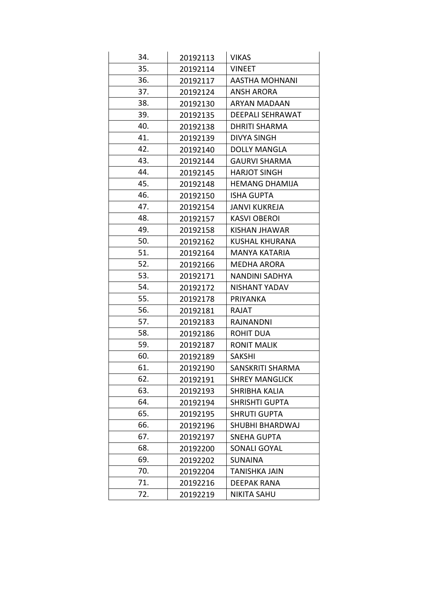| 34. | 20192113 | <b>VIKAS</b>            |
|-----|----------|-------------------------|
| 35. | 20192114 | <b>VINEET</b>           |
| 36. | 20192117 | AASTHA MOHNANI          |
| 37. | 20192124 | <b>ANSH ARORA</b>       |
| 38. | 20192130 | ARYAN MADAAN            |
| 39. | 20192135 | <b>DEEPALI SEHRAWAT</b> |
| 40. | 20192138 | <b>DHRITI SHARMA</b>    |
| 41. | 20192139 | <b>DIVYA SINGH</b>      |
| 42. | 20192140 | <b>DOLLY MANGLA</b>     |
| 43. | 20192144 | <b>GAURVI SHARMA</b>    |
| 44. | 20192145 | <b>HARJOT SINGH</b>     |
| 45. | 20192148 | <b>HEMANG DHAMIJA</b>   |
| 46. | 20192150 | <b>ISHA GUPTA</b>       |
| 47. | 20192154 | JANVI KUKREJA           |
| 48. | 20192157 | <b>KASVI OBEROI</b>     |
| 49. | 20192158 | KISHAN JHAWAR           |
| 50. | 20192162 | KUSHAL KHURANA          |
| 51. | 20192164 | <b>MANYA KATARIA</b>    |
| 52. | 20192166 | <b>MEDHA ARORA</b>      |
| 53. | 20192171 | NANDINI SADHYA          |
| 54. | 20192172 | NISHANT YADAV           |
| 55. | 20192178 | PRIYANKA                |
| 56. | 20192181 | RAJAT                   |
| 57. | 20192183 | RAJNANDNI               |
| 58. | 20192186 | <b>ROHIT DUA</b>        |
| 59. | 20192187 | <b>RONIT MALIK</b>      |
| 60. | 20192189 | <b>SAKSHI</b>           |
| 61. | 20192190 | SANSKRITI SHARMA        |
| 62. | 20192191 | <b>SHREY MANGLICK</b>   |
| 63. | 20192193 | SHRIBHA KALIA           |
| 64. | 20192194 | <b>SHRISHTI GUPTA</b>   |
| 65. | 20192195 | <b>SHRUTI GUPTA</b>     |
| 66. | 20192196 | SHUBHI BHARDWAJ         |
| 67. | 20192197 | <b>SNEHA GUPTA</b>      |
| 68. | 20192200 | <b>SONALI GOYAL</b>     |
| 69. | 20192202 | <b>SUNAINA</b>          |
| 70. | 20192204 | <b>TANISHKA JAIN</b>    |
| 71. | 20192216 | DEEPAK RANA             |
| 72. | 20192219 | <b>NIKITA SAHU</b>      |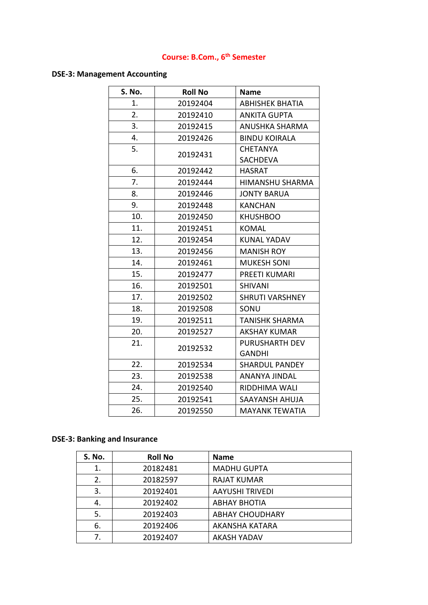# **Course: B.Com., 6th Semester**

### **DSE-3: Management Accounting**

| S. No. | <b>Roll No</b> | <b>Name</b>            |
|--------|----------------|------------------------|
| 1.     | 20192404       | <b>ABHISHEK BHATIA</b> |
| 2.     | 20192410       | <b>ANKITA GUPTA</b>    |
| 3.     | 20192415       | ANUSHKA SHARMA         |
| 4.     | 20192426       | <b>BINDU KOIRALA</b>   |
| 5.     |                | <b>CHETANYA</b>        |
|        | 20192431       | <b>SACHDEVA</b>        |
| 6.     | 20192442       | <b>HASRAT</b>          |
| 7.     | 20192444       | HIMANSHU SHARMA        |
| 8.     | 20192446       | <b>JONTY BARUA</b>     |
| 9.     | 20192448       | <b>KANCHAN</b>         |
| 10.    | 20192450       | <b>KHUSHBOO</b>        |
| 11.    | 20192451       | <b>KOMAL</b>           |
| 12.    | 20192454       | <b>KUNAL YADAV</b>     |
| 13.    | 20192456       | <b>MANISH ROY</b>      |
| 14.    | 20192461       | <b>MUKESH SONI</b>     |
| 15.    | 20192477       | PREETI KUMARI          |
| 16.    | 20192501       | <b>SHIVANI</b>         |
| 17.    | 20192502       | <b>SHRUTI VARSHNEY</b> |
| 18.    | 20192508       | SONU                   |
| 19.    | 20192511       | <b>TANISHK SHARMA</b>  |
| 20.    | 20192527       | <b>AKSHAY KUMAR</b>    |
| 21.    | 20192532       | <b>PURUSHARTH DEV</b>  |
|        |                | <b>GANDHI</b>          |
| 22.    | 20192534       | <b>SHARDUL PANDEY</b>  |
| 23.    | 20192538       | ANANYA JINDAL          |
| 24.    | 20192540       | RIDDHIMA WALI          |
| 25.    | 20192541       | SAAYANSH AHUJA         |
| 26.    | 20192550       | <b>MAYANK TEWATIA</b>  |

## **DSE-3: Banking and Insurance**

| <b>S. No.</b> | <b>Roll No</b> | <b>Name</b>            |
|---------------|----------------|------------------------|
| 1.            | 20182481       | <b>MADHU GUPTA</b>     |
| 2.            | 20182597       | <b>RAJAT KUMAR</b>     |
| 3.            | 20192401       | <b>AAYUSHI TRIVEDI</b> |
| 4.            | 20192402       | <b>ABHAY BHOTIA</b>    |
| 5.            | 20192403       | <b>ABHAY CHOUDHARY</b> |
| 6.            | 20192406       | AKANSHA KATARA         |
| 7.            | 20192407       | <b>AKASH YADAV</b>     |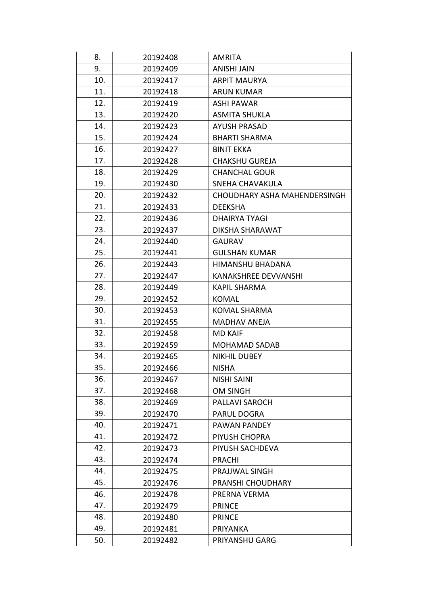| 8.  | 20192408 | <b>AMRITA</b>                |
|-----|----------|------------------------------|
| 9.  | 20192409 | ANISHI JAIN                  |
| 10. | 20192417 | <b>ARPIT MAURYA</b>          |
| 11. | 20192418 | <b>ARUN KUMAR</b>            |
| 12. | 20192419 | ASHI PAWAR                   |
| 13. | 20192420 | <b>ASMITA SHUKLA</b>         |
| 14. | 20192423 | <b>AYUSH PRASAD</b>          |
| 15. | 20192424 | <b>BHARTI SHARMA</b>         |
| 16. | 20192427 | <b>BINIT EKKA</b>            |
| 17. | 20192428 | <b>CHAKSHU GUREJA</b>        |
| 18. | 20192429 | <b>CHANCHAL GOUR</b>         |
| 19. | 20192430 | SNEHA CHAVAKULA              |
| 20. | 20192432 | CHOUDHARY ASHA MAHENDERSINGH |
| 21. | 20192433 | <b>DEEKSHA</b>               |
| 22. | 20192436 | <b>DHAIRYA TYAGI</b>         |
| 23. | 20192437 | <b>DIKSHA SHARAWAT</b>       |
| 24. | 20192440 | <b>GAURAV</b>                |
| 25. | 20192441 | <b>GULSHAN KUMAR</b>         |
| 26. | 20192443 | HIMANSHU BHADANA             |
| 27. | 20192447 | <b>KANAKSHREE DEVVANSHI</b>  |
| 28. | 20192449 | <b>KAPIL SHARMA</b>          |
| 29. | 20192452 | <b>KOMAL</b>                 |
| 30. | 20192453 | KOMAL SHARMA                 |
| 31. | 20192455 | <b>MADHAV ANEJA</b>          |
| 32. | 20192458 | <b>MD KAIF</b>               |
| 33. | 20192459 | <b>MOHAMAD SADAB</b>         |
| 34. | 20192465 | <b>NIKHIL DUBEY</b>          |
| 35. | 20192466 | <b>NISHA</b>                 |
| 36. | 20192467 | <b>NISHI SAINI</b>           |
| 37. | 20192468 | <b>OM SINGH</b>              |
| 38. | 20192469 | <b>PALLAVI SAROCH</b>        |
| 39. | 20192470 | PARUL DOGRA                  |
| 40. | 20192471 | PAWAN PANDEY                 |
| 41. | 20192472 | PIYUSH CHOPRA                |
| 42. | 20192473 | PIYUSH SACHDEVA              |
| 43. | 20192474 | <b>PRACHI</b>                |
| 44. | 20192475 | PRAJJWAL SINGH               |
| 45. | 20192476 | PRANSHI CHOUDHARY            |
| 46. | 20192478 | PRERNA VERMA                 |
| 47. | 20192479 | <b>PRINCE</b>                |
| 48. | 20192480 | <b>PRINCE</b>                |
| 49. | 20192481 | <b>PRIYANKA</b>              |
| 50. | 20192482 | PRIYANSHU GARG               |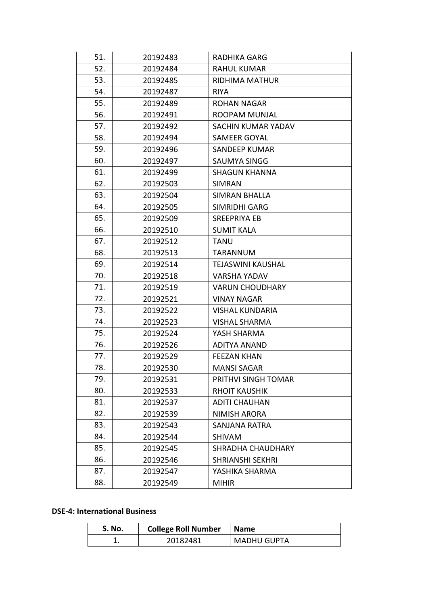| 51. | 20192483 | <b>RADHIKA GARG</b>      |
|-----|----------|--------------------------|
| 52. | 20192484 | <b>RAHUL KUMAR</b>       |
| 53. | 20192485 | <b>RIDHIMA MATHUR</b>    |
| 54. | 20192487 | <b>RIYA</b>              |
| 55. | 20192489 | <b>ROHAN NAGAR</b>       |
| 56. | 20192491 | ROOPAM MUNJAL            |
| 57. | 20192492 | SACHIN KUMAR YADAV       |
| 58. | 20192494 | <b>SAMEER GOYAL</b>      |
| 59. | 20192496 | <b>SANDEEP KUMAR</b>     |
| 60. | 20192497 | SAUMYA SINGG             |
| 61. | 20192499 | <b>SHAGUN KHANNA</b>     |
| 62. | 20192503 | <b>SIMRAN</b>            |
| 63. | 20192504 | <b>SIMRAN BHALLA</b>     |
| 64. | 20192505 | SIMRIDHI GARG            |
| 65. | 20192509 | SREEPRIYA EB             |
| 66. | 20192510 | <b>SUMIT KALA</b>        |
| 67. | 20192512 | <b>TANU</b>              |
| 68. | 20192513 | <b>TARANNUM</b>          |
| 69. | 20192514 | <b>TEJASWINI KAUSHAL</b> |
| 70. | 20192518 | <b>VARSHA YADAV</b>      |
| 71. | 20192519 | <b>VARUN CHOUDHARY</b>   |
| 72. | 20192521 | <b>VINAY NAGAR</b>       |
| 73. | 20192522 | <b>VISHAL KUNDARIA</b>   |
| 74. | 20192523 | <b>VISHAL SHARMA</b>     |
| 75. | 20192524 | YASH SHARMA              |
| 76. | 20192526 | <b>ADITYA ANAND</b>      |
| 77. | 20192529 | <b>FEEZAN KHAN</b>       |
| 78. | 20192530 | <b>MANSI SAGAR</b>       |
| 79. | 20192531 | PRITHVI SINGH TOMAR      |
| 80. | 20192533 | <b>RHOIT KAUSHIK</b>     |
| 81. | 20192537 | <b>ADITI CHAUHAN</b>     |
| 82. | 20192539 | <b>NIMISH ARORA</b>      |
| 83. | 20192543 | <b>SANJANA RATRA</b>     |
| 84. | 20192544 | <b>SHIVAM</b>            |
| 85. | 20192545 | <b>SHRADHA CHAUDHARY</b> |
| 86. | 20192546 | <b>SHRIANSHI SEKHRI</b>  |
| 87. | 20192547 | YASHIKA SHARMA           |
| 88. | 20192549 | <b>MIHIR</b>             |

#### **DSE-4: International Business**

| S. No. | <b>College Roll Number</b> | <b>Name</b>        |
|--------|----------------------------|--------------------|
|        | 20182481                   | <b>MADHU GUPTA</b> |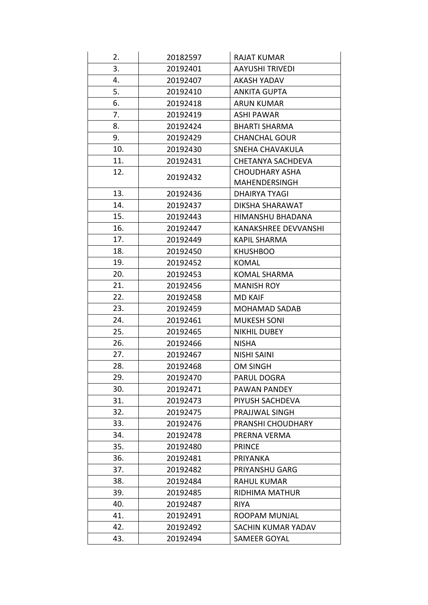| 2.  | 20182597 | <b>RAJAT KUMAR</b>          |
|-----|----------|-----------------------------|
| 3.  | 20192401 | <b>AAYUSHI TRIVEDI</b>      |
| 4.  | 20192407 | <b>AKASH YADAV</b>          |
| 5.  | 20192410 | <b>ANKITA GUPTA</b>         |
| 6.  | 20192418 | <b>ARUN KUMAR</b>           |
| 7.  | 20192419 | <b>ASHI PAWAR</b>           |
| 8.  | 20192424 | <b>BHARTI SHARMA</b>        |
| 9.  | 20192429 | <b>CHANCHAL GOUR</b>        |
| 10. | 20192430 | SNEHA CHAVAKULA             |
| 11. | 20192431 | CHETANYA SACHDEVA           |
| 12. | 20192432 | <b>CHOUDHARY ASHA</b>       |
|     |          | <b>MAHENDERSINGH</b>        |
| 13. | 20192436 | DHAIRYA TYAGI               |
| 14. | 20192437 | DIKSHA SHARAWAT             |
| 15. | 20192443 | HIMANSHU BHADANA            |
| 16. | 20192447 | <b>KANAKSHREE DEVVANSHI</b> |
| 17. | 20192449 | <b>KAPIL SHARMA</b>         |
| 18. | 20192450 | <b>KHUSHBOO</b>             |
| 19. | 20192452 | KOMAL                       |
| 20. | 20192453 | <b>KOMAL SHARMA</b>         |
| 21. | 20192456 | <b>MANISH ROY</b>           |
| 22. | 20192458 | <b>MD KAIF</b>              |
| 23. | 20192459 | <b>MOHAMAD SADAB</b>        |
| 24. | 20192461 | <b>MUKESH SONI</b>          |
| 25. | 20192465 | <b>NIKHIL DUBEY</b>         |
| 26. | 20192466 | <b>NISHA</b>                |
| 27. | 20192467 | <b>NISHI SAINI</b>          |
| 28. | 20192468 | <b>OM SINGH</b>             |
| 29. | 20192470 | PARUL DOGRA                 |
| 30. | 20192471 | PAWAN PANDEY                |
| 31. | 20192473 | PIYUSH SACHDEVA             |
| 32. | 20192475 | PRAJJWAL SINGH              |
| 33. | 20192476 | PRANSHI CHOUDHARY           |
| 34. | 20192478 | PRERNA VERMA                |
| 35. | 20192480 | <b>PRINCE</b>               |
| 36. | 20192481 | <b>PRIYANKA</b>             |
| 37. | 20192482 | PRIYANSHU GARG              |
| 38. | 20192484 | <b>RAHUL KUMAR</b>          |
| 39. | 20192485 | <b>RIDHIMA MATHUR</b>       |
| 40. | 20192487 | <b>RIYA</b>                 |
| 41. | 20192491 | ROOPAM MUNJAL               |
| 42. | 20192492 | SACHIN KUMAR YADAV          |
| 43. | 20192494 | <b>SAMEER GOYAL</b>         |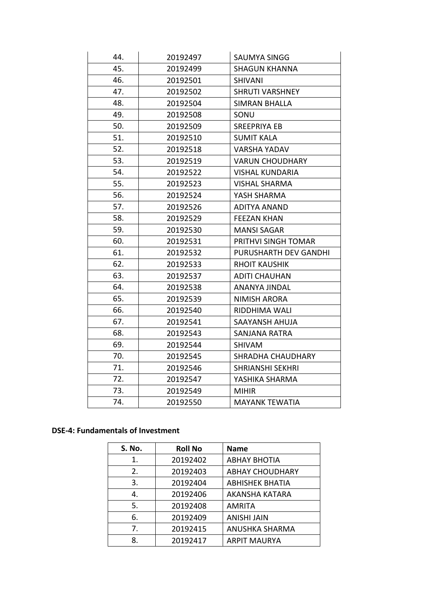| 44. | 20192497 | <b>SAUMYA SINGG</b>     |
|-----|----------|-------------------------|
| 45. | 20192499 | <b>SHAGUN KHANNA</b>    |
| 46. | 20192501 | <b>SHIVANI</b>          |
| 47. | 20192502 | <b>SHRUTI VARSHNEY</b>  |
| 48. | 20192504 | <b>SIMRAN BHALLA</b>    |
| 49. | 20192508 | SONU                    |
| 50. | 20192509 | SREEPRIYA EB            |
| 51. | 20192510 | <b>SUMIT KALA</b>       |
| 52. | 20192518 | <b>VARSHA YADAV</b>     |
| 53. | 20192519 | <b>VARUN CHOUDHARY</b>  |
| 54. | 20192522 | <b>VISHAL KUNDARIA</b>  |
| 55. | 20192523 | <b>VISHAL SHARMA</b>    |
| 56. | 20192524 | YASH SHARMA             |
| 57. | 20192526 | <b>ADITYA ANAND</b>     |
| 58. | 20192529 | <b>FEEZAN KHAN</b>      |
| 59. | 20192530 | <b>MANSI SAGAR</b>      |
| 60. | 20192531 | PRITHVI SINGH TOMAR     |
| 61. | 20192532 | PURUSHARTH DEV GANDHI   |
| 62. | 20192533 | <b>RHOIT KAUSHIK</b>    |
| 63. | 20192537 | <b>ADITI CHAUHAN</b>    |
| 64. | 20192538 | ANANYA JINDAL           |
| 65. | 20192539 | <b>NIMISH ARORA</b>     |
| 66. | 20192540 | RIDDHIMA WALI           |
| 67. | 20192541 | SAAYANSH AHUJA          |
| 68. | 20192543 | SANJANA RATRA           |
| 69. | 20192544 | <b>SHIVAM</b>           |
| 70. | 20192545 | SHRADHA CHAUDHARY       |
| 71. | 20192546 | <b>SHRIANSHI SEKHRI</b> |
| 72. | 20192547 | YASHIKA SHARMA          |
| 73. | 20192549 | <b>MIHIR</b>            |
| 74. | 20192550 | <b>MAYANK TEWATIA</b>   |
|     |          |                         |

### **DSE-4: Fundamentals of Investment**

| <b>S. No.</b> | <b>Roll No</b> | <b>Name</b>            |
|---------------|----------------|------------------------|
| 1.            | 20192402       | <b>ABHAY BHOTIA</b>    |
| 2.            | 20192403       | <b>ABHAY CHOUDHARY</b> |
| 3.            | 20192404       | <b>ABHISHEK BHATIA</b> |
| 4.            | 20192406       | <b>AKANSHA KATARA</b>  |
| 5.            | 20192408       | <b>AMRITA</b>          |
| 6.            | 20192409       | <b>ANISHI JAIN</b>     |
| 7.            | 20192415       | ANUSHKA SHARMA         |
| 8.            | 20192417       | <b>ARPIT MAURYA</b>    |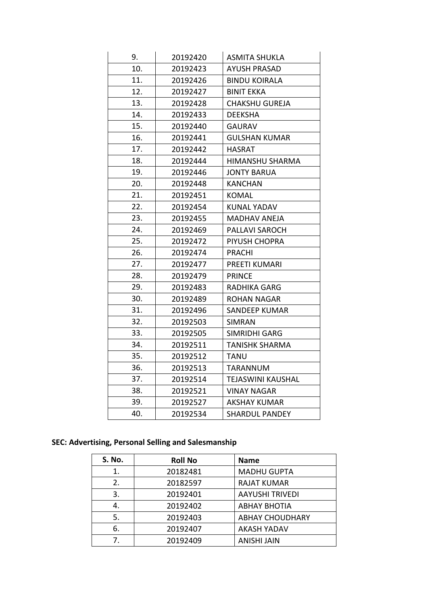| 9.  | 20192420 | <b>ASMITA SHUKLA</b>     |
|-----|----------|--------------------------|
| 10. | 20192423 | <b>AYUSH PRASAD</b>      |
| 11. | 20192426 | <b>BINDU KOIRALA</b>     |
| 12. | 20192427 | <b>BINIT EKKA</b>        |
| 13. | 20192428 | <b>CHAKSHU GUREJA</b>    |
| 14. | 20192433 | <b>DEEKSHA</b>           |
| 15. | 20192440 | <b>GAURAV</b>            |
| 16. | 20192441 | <b>GULSHAN KUMAR</b>     |
| 17. | 20192442 | <b>HASRAT</b>            |
| 18. | 20192444 | HIMANSHU SHARMA          |
| 19. | 20192446 | <b>JONTY BARUA</b>       |
| 20. | 20192448 | KANCHAN                  |
| 21. | 20192451 | <b>KOMAL</b>             |
| 22. | 20192454 | <b>KUNAL YADAV</b>       |
| 23. | 20192455 | MADHAV ANEJA             |
| 24. | 20192469 | PALLAVI SAROCH           |
| 25. | 20192472 | PIYUSH CHOPRA            |
| 26. | 20192474 | <b>PRACHI</b>            |
| 27. | 20192477 | PREETI KUMARI            |
| 28. | 20192479 | <b>PRINCE</b>            |
| 29. | 20192483 | <b>RADHIKA GARG</b>      |
| 30. | 20192489 | <b>ROHAN NAGAR</b>       |
| 31. | 20192496 | <b>SANDEEP KUMAR</b>     |
| 32. | 20192503 | <b>SIMRAN</b>            |
| 33. | 20192505 | SIMRIDHI GARG            |
| 34. | 20192511 | <b>TANISHK SHARMA</b>    |
| 35. | 20192512 | <b>TANU</b>              |
| 36. | 20192513 | <b>TARANNUM</b>          |
| 37. | 20192514 | <b>TEJASWINI KAUSHAL</b> |
| 38. | 20192521 | <b>VINAY NAGAR</b>       |
| 39. | 20192527 | <b>AKSHAY KUMAR</b>      |
| 40. | 20192534 | <b>SHARDUL PANDEY</b>    |

## **SEC: Advertising, Personal Selling and Salesmanship**

| <b>S. No.</b> | <b>Roll No</b> | <b>Name</b>            |
|---------------|----------------|------------------------|
| 1.            | 20182481       | <b>MADHU GUPTA</b>     |
| 2.            | 20182597       | <b>RAJAT KUMAR</b>     |
| 3.            | 20192401       | <b>AAYUSHI TRIVEDI</b> |
| 4.            | 20192402       | <b>ABHAY BHOTIA</b>    |
| 5.            | 20192403       | <b>ABHAY CHOUDHARY</b> |
| 6.            | 20192407       | <b>AKASH YADAV</b>     |
| 7.            | 20192409       | <b>ANISHI JAIN</b>     |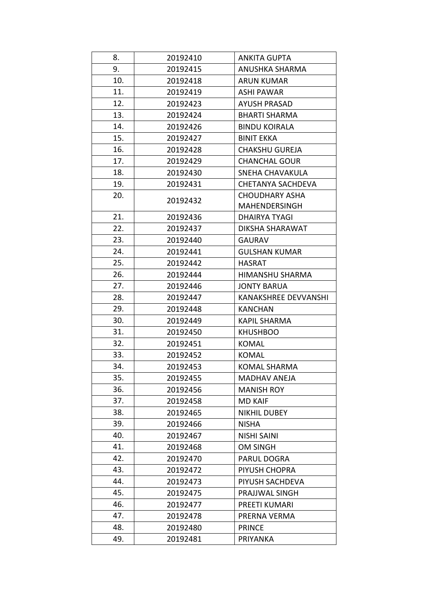| 8.  | 20192410 | <b>ANKITA GUPTA</b>         |
|-----|----------|-----------------------------|
| 9.  | 20192415 | ANUSHKA SHARMA              |
| 10. | 20192418 | <b>ARUN KUMAR</b>           |
| 11. | 20192419 | ASHI PAWAR                  |
| 12. | 20192423 | <b>AYUSH PRASAD</b>         |
| 13. | 20192424 | <b>BHARTI SHARMA</b>        |
| 14. | 20192426 | <b>BINDU KOIRALA</b>        |
| 15. | 20192427 | <b>BINIT EKKA</b>           |
| 16. | 20192428 | <b>CHAKSHU GUREJA</b>       |
| 17. | 20192429 | <b>CHANCHAL GOUR</b>        |
| 18. | 20192430 | SNEHA CHAVAKULA             |
| 19. | 20192431 | <b>CHETANYA SACHDEVA</b>    |
| 20. | 20192432 | <b>CHOUDHARY ASHA</b>       |
|     |          | <b>MAHENDERSINGH</b>        |
| 21. | 20192436 | <b>DHAIRYA TYAGI</b>        |
| 22. | 20192437 | DIKSHA SHARAWAT             |
| 23. | 20192440 | <b>GAURAV</b>               |
| 24. | 20192441 | <b>GULSHAN KUMAR</b>        |
| 25. | 20192442 | <b>HASRAT</b>               |
| 26. | 20192444 | HIMANSHU SHARMA             |
| 27. | 20192446 | <b>JONTY BARUA</b>          |
| 28. | 20192447 | <b>KANAKSHREE DEVVANSHI</b> |
| 29. | 20192448 | <b>KANCHAN</b>              |
| 30. | 20192449 | <b>KAPIL SHARMA</b>         |
| 31. | 20192450 | <b>KHUSHBOO</b>             |
| 32. | 20192451 | <b>KOMAL</b>                |
| 33. | 20192452 | <b>KOMAL</b>                |
| 34. | 20192453 | <b>KOMAL SHARMA</b>         |
| 35. | 20192455 | <b>MADHAV ANEJA</b>         |
| 36. | 20192456 | <b>MANISH ROY</b>           |
| 37. | 20192458 | <b>MD KAIF</b>              |
| 38. | 20192465 | <b>NIKHIL DUBEY</b>         |
| 39. | 20192466 | <b>NISHA</b>                |
| 40. | 20192467 | <b>NISHI SAINI</b>          |
| 41. | 20192468 | <b>OM SINGH</b>             |
| 42. | 20192470 | PARUL DOGRA                 |
| 43. | 20192472 | PIYUSH CHOPRA               |
| 44. | 20192473 | PIYUSH SACHDEVA             |
| 45. | 20192475 | PRAJJWAL SINGH              |
| 46. | 20192477 | PREETI KUMARI               |
| 47. | 20192478 | PRERNA VERMA                |
| 48. | 20192480 | <b>PRINCE</b>               |
| 49. | 20192481 | <b>PRIYANKA</b>             |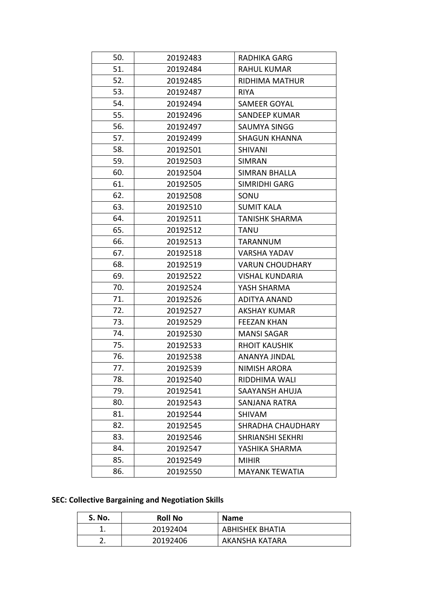| 50. | 20192483 | <b>RADHIKA GARG</b>      |
|-----|----------|--------------------------|
| 51. | 20192484 | <b>RAHUL KUMAR</b>       |
| 52. | 20192485 | RIDHIMA MATHUR           |
| 53. | 20192487 | <b>RIYA</b>              |
| 54. | 20192494 | SAMEER GOYAL             |
| 55. | 20192496 | SANDEEP KUMAR            |
| 56. | 20192497 | SAUMYA SINGG             |
| 57. | 20192499 | SHAGUN KHANNA            |
| 58. | 20192501 | <b>SHIVANI</b>           |
| 59. | 20192503 | <b>SIMRAN</b>            |
| 60. | 20192504 | <b>SIMRAN BHALLA</b>     |
| 61. | 20192505 | SIMRIDHI GARG            |
| 62. | 20192508 | SONU                     |
| 63. | 20192510 | <b>SUMIT KALA</b>        |
| 64. | 20192511 | <b>TANISHK SHARMA</b>    |
| 65. | 20192512 | <b>TANU</b>              |
| 66. | 20192513 | TARANNUM                 |
| 67. | 20192518 | <b>VARSHA YADAV</b>      |
| 68. | 20192519 | <b>VARUN CHOUDHARY</b>   |
| 69. | 20192522 | VISHAL KUNDARIA          |
| 70. | 20192524 | YASH SHARMA              |
| 71. | 20192526 | <b>ADITYA ANAND</b>      |
| 72. | 20192527 | AKSHAY KUMAR             |
| 73. | 20192529 | <b>FEEZAN KHAN</b>       |
| 74. | 20192530 | <b>MANSI SAGAR</b>       |
| 75. | 20192533 | <b>RHOIT KAUSHIK</b>     |
| 76. | 20192538 | ANANYA JINDAL            |
| 77. | 20192539 | NIMISH ARORA             |
| 78. | 20192540 | RIDDHIMA WALI            |
| 79. | 20192541 | SAAYANSH AHUJA           |
| 80. | 20192543 | SANJANA RATRA            |
| 81. | 20192544 | SHIVAM                   |
| 82. | 20192545 | <b>SHRADHA CHAUDHARY</b> |
| 83. | 20192546 | <b>SHRIANSHI SEKHRI</b>  |
| 84. | 20192547 | YASHIKA SHARMA           |
| 85. | 20192549 | <b>MIHIR</b>             |
| 86. | 20192550 | <b>MAYANK TEWATIA</b>    |
|     |          |                          |

### **SEC: Collective Bargaining and Negotiation Skills**

| S. No.   | <b>Roll No</b> | <b>Name</b>     |
|----------|----------------|-----------------|
|          | 20192404       | ABHISHEK BHATIA |
| <u>.</u> | 20192406       | AKANSHA KATARA  |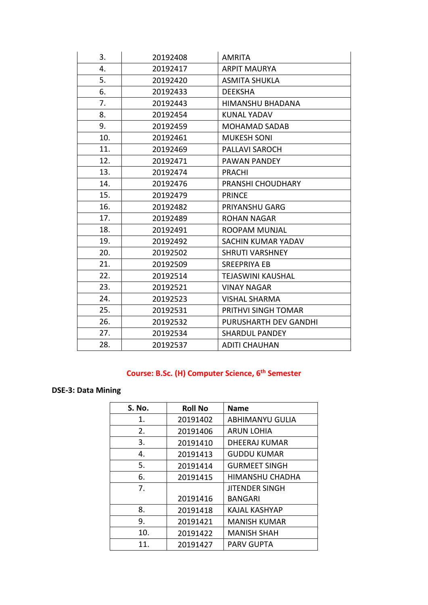| 3.  | 20192408 | <b>AMRITA</b>            |
|-----|----------|--------------------------|
| 4.  | 20192417 | <b>ARPIT MAURYA</b>      |
| 5.  | 20192420 | <b>ASMITA SHUKLA</b>     |
| 6.  | 20192433 | <b>DEEKSHA</b>           |
| 7.  | 20192443 | HIMANSHU BHADANA         |
| 8.  | 20192454 | KUNAL YADAV              |
| 9.  | 20192459 | <b>MOHAMAD SADAB</b>     |
| 10. | 20192461 | <b>MUKESH SONI</b>       |
| 11. | 20192469 | <b>PALLAVI SAROCH</b>    |
| 12. | 20192471 | PAWAN PANDEY             |
| 13. | 20192474 | <b>PRACHI</b>            |
| 14. | 20192476 | PRANSHI CHOUDHARY        |
| 15. | 20192479 | <b>PRINCE</b>            |
| 16. | 20192482 | PRIYANSHU GARG           |
| 17. | 20192489 | <b>ROHAN NAGAR</b>       |
| 18. | 20192491 | ROOPAM MUNJAL            |
| 19. | 20192492 | SACHIN KUMAR YADAV       |
| 20. | 20192502 | <b>SHRUTI VARSHNEY</b>   |
| 21. | 20192509 | <b>SREEPRIYA EB</b>      |
| 22. | 20192514 | <b>TEJASWINI KAUSHAL</b> |
| 23. | 20192521 | <b>VINAY NAGAR</b>       |
| 24. | 20192523 | <b>VISHAL SHARMA</b>     |
| 25. | 20192531 | PRITHVI SINGH TOMAR      |
| 26. | 20192532 | PURUSHARTH DEV GANDHI    |
| 27. | 20192534 | <b>SHARDUL PANDEY</b>    |
| 28. | 20192537 | <b>ADITI CHAUHAN</b>     |
|     |          |                          |

## **Course: B.Sc. (H) Computer Science, 6th Semester**

### **DSE-3: Data Mining**

| S. No.         | <b>Roll No</b> | <b>Name</b>            |
|----------------|----------------|------------------------|
| 1.             | 20191402       | <b>ABHIMANYU GULIA</b> |
| 2.             | 20191406       | <b>ARUN LOHIA</b>      |
| 3.             | 20191410       | <b>DHEERAJ KUMAR</b>   |
| 4.             | 20191413       | <b>GUDDU KUMAR</b>     |
| 5.             | 20191414       | <b>GURMEET SINGH</b>   |
| 6.             | 20191415       | HIMANSHU CHADHA        |
| 7 <sub>1</sub> |                | <b>JITENDER SINGH</b>  |
|                | 20191416       | <b>BANGARI</b>         |
| 8.             | 20191418       | KAJAL KASHYAP          |
| 9.             | 20191421       | <b>MANISH KUMAR</b>    |
| 10.            | 20191422       | <b>MANISH SHAH</b>     |
| 11.            | 20191427       | <b>PARV GUPTA</b>      |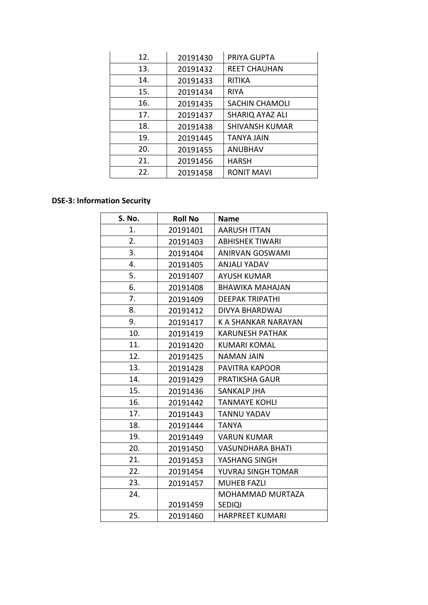| 12. | 20191430 | PRIYA GUPTA            |
|-----|----------|------------------------|
| 13. | 20191432 | <b>REET CHAUHAN</b>    |
| 14. | 20191433 | <b>RITIKA</b>          |
| 15. | 20191434 | <b>RIYA</b>            |
| 16. | 20191435 | <b>SACHIN CHAMOLI</b>  |
| 17. | 20191437 | <b>SHARIQ AYAZ ALI</b> |
| 18. | 20191438 | <b>SHIVANSH KUMAR</b>  |
| 19. | 20191445 | <b>TANYA JAIN</b>      |
| 20. | 20191455 | <b>ANUBHAV</b>         |
| 21. | 20191456 | <b>HARSH</b>           |
| 22. | 20191458 | <b>RONIT MAVI</b>      |

#### **DSE-3: Information Security**

| S. No. | <b>Roll No</b> | <b>Name</b>            |
|--------|----------------|------------------------|
| 1.     | 20191401       | <b>AARUSH ITTAN</b>    |
| 2.     | 20191403       | <b>ABHISHEK TIWARI</b> |
| 3.     | 20191404       | <b>ANIRVAN GOSWAMI</b> |
| 4.     | 20191405       | ANJALI YADAV           |
| 5.     | 20191407       | <b>AYUSH KUMAR</b>     |
| 6.     | 20191408       | <b>BHAWIKA MAHAJAN</b> |
| 7.     | 20191409       | <b>DEEPAK TRIPATHI</b> |
| 8.     | 20191412       | DIVYA BHARDWAJ         |
| 9.     | 20191417       | K A SHANKAR NARAYAN    |
| 10.    | 20191419       | <b>KARUNESH PATHAK</b> |
| 11.    | 20191420       | KUMARI KOMAL           |
| 12.    | 20191425       | NAMAN JAIN             |
| 13.    | 20191428       | <b>PAVITRA KAPOOR</b>  |
| 14.    | 20191429       | <b>PRATIKSHA GAUR</b>  |
| 15.    | 20191436       | <b>SANKALP JHA</b>     |
| 16.    | 20191442       | <b>TANMAYE KOHLI</b>   |
| 17.    | 20191443       | <b>TANNU YADAV</b>     |
| 18.    | 20191444       | <b>TANYA</b>           |
| 19.    | 20191449       | <b>VARUN KUMAR</b>     |
| 20.    | 20191450       | VASUNDHARA BHATI       |
| 21.    | 20191453       | YASHANG SINGH          |
| 22.    | 20191454       | YUVRAJ SINGH TOMAR     |
| 23.    | 20191457       | <b>MUHEB FAZLI</b>     |
| 24.    |                | MOHAMMAD MURTAZA       |
|        | 20191459       | <b>SEDIQI</b>          |
| 25.    | 20191460       | <b>HARPREET KUMARI</b> |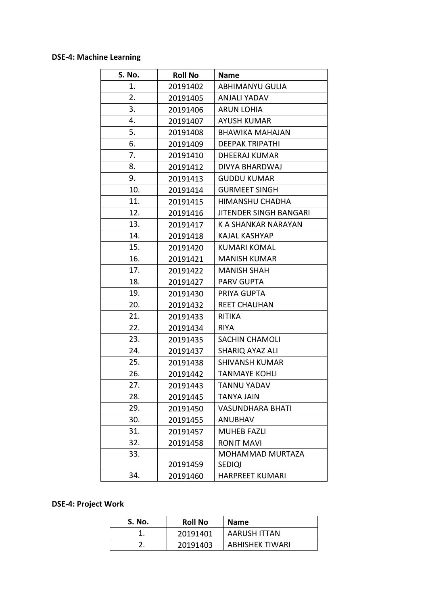### **DSE-4: Machine Learning**

| S. No. | <b>Roll No</b> | <b>Name</b>                   |
|--------|----------------|-------------------------------|
| 1.     | 20191402       | <b>ABHIMANYU GULIA</b>        |
| 2.     | 20191405       | ANJALI YADAV                  |
| 3.     | 20191406       | <b>ARUN LOHIA</b>             |
| 4.     | 20191407       | <b>AYUSH KUMAR</b>            |
| 5.     | 20191408       | <b>BHAWIKA MAHAJAN</b>        |
| 6.     | 20191409       | <b>DEEPAK TRIPATHI</b>        |
| 7.     | 20191410       | <b>DHEERAJ KUMAR</b>          |
| 8.     | 20191412       | DIVYA BHARDWAJ                |
| 9.     | 20191413       | <b>GUDDU KUMAR</b>            |
| 10.    | 20191414       | <b>GURMEET SINGH</b>          |
| 11.    | 20191415       | HIMANSHU CHADHA               |
| 12.    | 20191416       | <b>JITENDER SINGH BANGARI</b> |
| 13.    | 20191417       | K A SHANKAR NARAYAN           |
| 14.    | 20191418       | KAJAL KASHYAP                 |
| 15.    | 20191420       | <b>KUMARI KOMAL</b>           |
| 16.    | 20191421       | <b>MANISH KUMAR</b>           |
| 17.    | 20191422       | <b>MANISH SHAH</b>            |
| 18.    | 20191427       | <b>PARV GUPTA</b>             |
| 19.    | 20191430       | PRIYA GUPTA                   |
| 20.    | 20191432       | <b>REET CHAUHAN</b>           |
| 21.    | 20191433       | <b>RITIKA</b>                 |
| 22.    | 20191434       | <b>RIYA</b>                   |
| 23.    | 20191435       | SACHIN CHAMOLI                |
| 24.    | 20191437       | <b>SHARIQ AYAZ ALI</b>        |
| 25.    | 20191438       | <b>SHIVANSH KUMAR</b>         |
| 26.    | 20191442       | <b>TANMAYE KOHLI</b>          |
| 27.    | 20191443       | TANNU YADAV                   |
| 28.    | 20191445       | TANYA JAIN                    |
| 29.    | 20191450       | <b>VASUNDHARA BHATI</b>       |
| 30.    | 20191455       | ANUBHAV                       |
| 31.    | 20191457       | <b>MUHEB FAZLI</b>            |
| 32.    | 20191458       | <b>RONIT MAVI</b>             |
| 33.    |                | MOHAMMAD MURTAZA              |
|        | 20191459       | <b>SEDIQI</b>                 |
| 34.    | 20191460       | <b>HARPREET KUMARI</b>        |

### **DSE-4: Project Work**

| S. No. | <b>Roll No</b> | <b>Name</b>            |
|--------|----------------|------------------------|
|        | 20191401       | <b>AARUSH ITTAN</b>    |
|        | 20191403       | <b>ABHISHEK TIWARI</b> |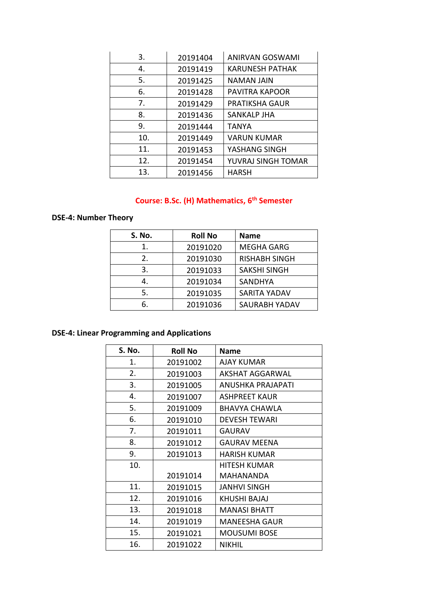| 3.  | 20191404 | <b>ANIRVAN GOSWAMI</b> |
|-----|----------|------------------------|
| 4.  | 20191419 | <b>KARUNESH PATHAK</b> |
| 5.  | 20191425 | <b>NAMAN JAIN</b>      |
| 6.  | 20191428 | PAVITRA KAPOOR         |
| 7.  | 20191429 | <b>PRATIKSHA GAUR</b>  |
| 8.  | 20191436 | SANKALP JHA            |
| 9.  | 20191444 | <b>TANYA</b>           |
| 10. | 20191449 | <b>VARUN KUMAR</b>     |
| 11. | 20191453 | YASHANG SINGH          |
| 12. | 20191454 | YUVRAJ SINGH TOMAR     |
| 13. | 20191456 | <b>HARSH</b>           |

## **Course: B.Sc. (H) Mathematics, 6th Semester**

### **DSE-4: Number Theory**

| S. No. | <b>Roll No</b> | <b>Name</b>          |
|--------|----------------|----------------------|
| 1.     | 20191020       | <b>MEGHA GARG</b>    |
| 2.     | 20191030       | <b>RISHABH SINGH</b> |
| 3.     | 20191033       | <b>SAKSHI SINGH</b>  |
| 4.     | 20191034       | <b>SANDHYA</b>       |
| 5.     | 20191035       | <b>SARITA YADAV</b>  |
| 6.     | 20191036       | <b>SAURABH YADAV</b> |

## **DSE-4: Linear Programming and Applications**

| <b>S. No.</b> | <b>Roll No</b> | <b>Name</b>          |
|---------------|----------------|----------------------|
| 1.            | 20191002       | <b>AJAY KUMAR</b>    |
| 2.            | 20191003       | AKSHAT AGGARWAL      |
| 3.            | 20191005       | ANUSHKA PRAJAPATI    |
| 4.            | 20191007       | <b>ASHPREET KAUR</b> |
| 5.            | 20191009       | <b>BHAVYA CHAWLA</b> |
| 6.            | 20191010       | <b>DEVESH TEWARI</b> |
| 7.            | 20191011       | <b>GAURAV</b>        |
| 8.            | 20191012       | <b>GAURAV MEENA</b>  |
| 9.            | 20191013       | <b>HARISH KUMAR</b>  |
| 10.           |                | <b>HITESH KUMAR</b>  |
|               | 20191014       | MAHANANDA            |
| 11.           | 20191015       | <b>JANHVI SINGH</b>  |
| 12.           | 20191016       | KHUSHI BAJAJ         |
| 13.           | 20191018       | <b>MANASI BHATT</b>  |
| 14.           | 20191019       | <b>MANEESHA GAUR</b> |
| 15.           | 20191021       | <b>MOUSUMI BOSE</b>  |
| 16.           | 20191022       | <b>NIKHIL</b>        |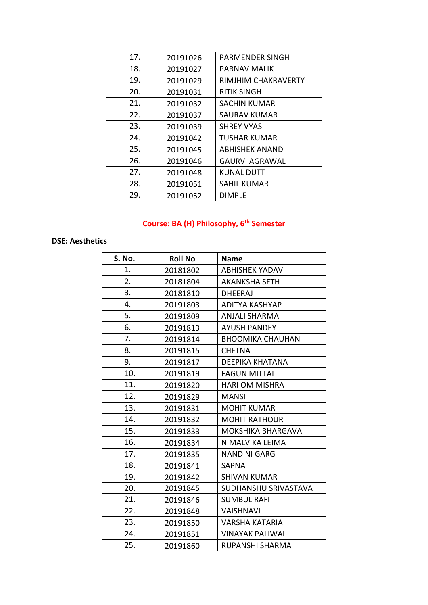| 17. | 20191026 | <b>PARMENDER SINGH</b> |
|-----|----------|------------------------|
| 18. | 20191027 | <b>PARNAV MALIK</b>    |
| 19. | 20191029 | RIMJHIM CHAKRAVERTY    |
| 20. | 20191031 | <b>RITIK SINGH</b>     |
| 21. | 20191032 | <b>SACHIN KUMAR</b>    |
| 22. | 20191037 | <b>SAURAV KUMAR</b>    |
| 23. | 20191039 | <b>SHREY VYAS</b>      |
| 24. | 20191042 | <b>TUSHAR KUMAR</b>    |
| 25. | 20191045 | <b>ABHISHEK ANAND</b>  |
| 26. | 20191046 | <b>GAURVI AGRAWAL</b>  |
| 27. | 20191048 | <b>KUNAL DUTT</b>      |
| 28. | 20191051 | <b>SAHIL KUMAR</b>     |
| 29. | 20191052 | <b>DIMPLE</b>          |

# **Course: BA (H) Philosophy, 6th Semester**

#### **DSE: Aesthetics**

| S. No. | <b>Roll No</b> | <b>Name</b>              |
|--------|----------------|--------------------------|
| 1.     | 20181802       | <b>ABHISHEK YADAV</b>    |
| 2.     | 20181804       | <b>AKANKSHA SETH</b>     |
| 3.     | 20181810       | <b>DHEERAJ</b>           |
| 4.     | 20191803       | ADITYA KASHYAP           |
| 5.     | 20191809       | ANJALI SHARMA            |
| 6.     | 20191813       | <b>AYUSH PANDEY</b>      |
| 7.     | 20191814       | <b>BHOOMIKA CHAUHAN</b>  |
| 8.     | 20191815       | <b>CHETNA</b>            |
| 9.     | 20191817       | <b>DEEPIKA KHATANA</b>   |
| 10.    | 20191819       | <b>FAGUN MITTAL</b>      |
| 11.    | 20191820       | HARI OM MISHRA           |
| 12.    | 20191829       | <b>MANSI</b>             |
| 13.    | 20191831       | <b>MOHIT KUMAR</b>       |
| 14.    | 20191832       | <b>MOHIT RATHOUR</b>     |
| 15.    | 20191833       | <b>MOKSHIKA BHARGAVA</b> |
| 16.    | 20191834       | N MALVIKA LEIMA          |
| 17.    | 20191835       | <b>NANDINI GARG</b>      |
| 18.    | 20191841       | <b>SAPNA</b>             |
| 19.    | 20191842       | <b>SHIVAN KUMAR</b>      |
| 20.    | 20191845       | SUDHANSHU SRIVASTAVA     |
| 21.    | 20191846       | <b>SUMBUL RAFI</b>       |
| 22.    | 20191848       | <b>VAISHNAVI</b>         |
| 23.    | 20191850       | VARSHA KATARIA           |
| 24.    | 20191851       | <b>VINAYAK PALIWAL</b>   |
| 25.    | 20191860       | RUPANSHI SHARMA          |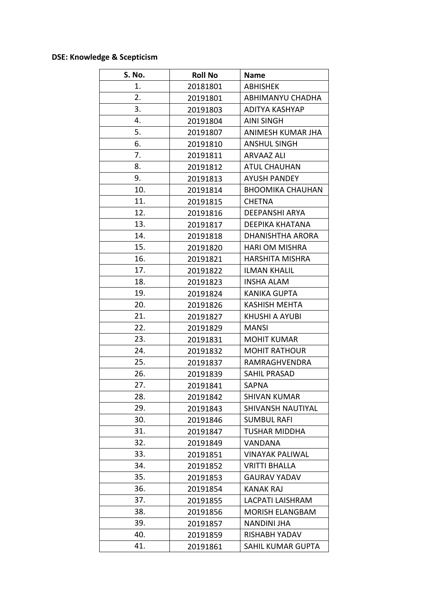## **DSE: Knowledge & Scepticism**

| S. No. | <b>Roll No</b> | <b>Name</b>             |
|--------|----------------|-------------------------|
| 1.     | 20181801       | <b>ABHISHEK</b>         |
| 2.     | 20191801       | ABHIMANYU CHADHA        |
| 3.     | 20191803       | ADITYA KASHYAP          |
| 4.     | 20191804       | <b>AINI SINGH</b>       |
| 5.     | 20191807       | ANIMESH KUMAR JHA       |
| 6.     | 20191810       | <b>ANSHUL SINGH</b>     |
| 7.     | 20191811       | ARVAAZ ALI              |
| 8.     | 20191812       | <b>ATUL CHAUHAN</b>     |
| 9.     | 20191813       | <b>AYUSH PANDEY</b>     |
| 10.    | 20191814       | <b>BHOOMIKA CHAUHAN</b> |
| 11.    | 20191815       | <b>CHETNA</b>           |
| 12.    | 20191816       | DEEPANSHI ARYA          |
| 13.    | 20191817       | DEEPIKA KHATANA         |
| 14.    | 20191818       | <b>DHANISHTHA ARORA</b> |
| 15.    | 20191820       | <b>HARI OM MISHRA</b>   |
| 16.    | 20191821       | <b>HARSHITA MISHRA</b>  |
| 17.    | 20191822       | <b>ILMAN KHALIL</b>     |
| 18.    | 20191823       | <b>INSHA ALAM</b>       |
| 19.    | 20191824       | <b>KANIKA GUPTA</b>     |
| 20.    | 20191826       | <b>KASHISH MEHTA</b>    |
| 21.    | 20191827       | KHUSHI A AYUBI          |
| 22.    | 20191829       | MANSI                   |
| 23.    | 20191831       | <b>MOHIT KUMAR</b>      |
| 24.    | 20191832       | <b>MOHIT RATHOUR</b>    |
| 25.    | 20191837       | RAMRAGHVENDRA           |
| 26.    | 20191839       | <b>SAHIL PRASAD</b>     |
| 27.    | 20191841       | <b>SAPNA</b>            |
| 28.    | 20191842       | <b>SHIVAN KUMAR</b>     |
| 29.    | 20191843       | SHIVANSH NAUTIYAL       |
| 30.    | 20191846       | <b>SUMBUL RAFI</b>      |
| 31.    | 20191847       | <b>TUSHAR MIDDHA</b>    |
| 32.    | 20191849       | <b>VANDANA</b>          |
| 33.    | 20191851       | VINAYAK PALIWAL         |
| 34.    | 20191852       | <b>VRITTI BHALLA</b>    |
| 35.    | 20191853       | <b>GAURAV YADAV</b>     |
| 36.    | 20191854       | <b>KANAK RAJ</b>        |
| 37.    | 20191855       | LACPATI LAISHRAM        |
| 38.    | 20191856       | <b>MORISH ELANGBAM</b>  |
| 39.    | 20191857       | <b>NANDINI JHA</b>      |
| 40.    | 20191859       | RISHABH YADAV           |
| 41.    | 20191861       | SAHIL KUMAR GUPTA       |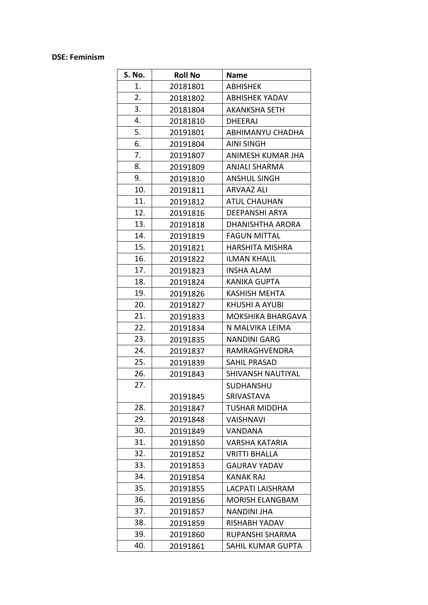#### **DSE: Feminism**

| S. No. | <b>Roll No</b> | <b>Name</b>            |
|--------|----------------|------------------------|
| 1.     | 20181801       | <b>ABHISHEK</b>        |
| 2.     | 20181802       | <b>ABHISHEK YADAV</b>  |
| 3.     | 20181804       | <b>AKANKSHA SETH</b>   |
| 4.     | 20181810       | DHEERAJ                |
| 5.     | 20191801       | ABHIMANYU CHADHA       |
| 6.     | 20191804       | <b>AINI SINGH</b>      |
| 7.     | 20191807       | ANIMESH KUMAR JHA      |
| 8.     | 20191809       | <b>ANJALI SHARMA</b>   |
| 9.     | 20191810       | <b>ANSHUL SINGH</b>    |
| 10.    | 20191811       | ARVAAZ ALI             |
| 11.    | 20191812       | <b>ATUL CHAUHAN</b>    |
| 12.    | 20191816       | <b>DEEPANSHI ARYA</b>  |
| 13.    | 20191818       | DHANISHTHA ARORA       |
| 14.    | 20191819       | <b>FAGUN MITTAL</b>    |
| 15.    | 20191821       | <b>HARSHITA MISHRA</b> |
| 16.    | 20191822       | <b>ILMAN KHALIL</b>    |
| 17.    | 20191823       | <b>INSHA ALAM</b>      |
| 18.    | 20191824       | <b>KANIKA GUPTA</b>    |
| 19.    | 20191826       | <b>KASHISH MEHTA</b>   |
| 20.    | 20191827       | KHUSHI A AYUBI         |
| 21.    | 20191833       | MOKSHIKA BHARGAVA      |
| 22.    | 20191834       | N MALVIKA LEIMA        |
| 23.    | 20191835       | <b>NANDINI GARG</b>    |
| 24.    | 20191837       | RAMRAGHVENDRA          |
| 25.    | 20191839       | <b>SAHIL PRASAD</b>    |
| 26.    | 20191843       | SHIVANSH NAUTIYAL      |
| 27.    |                | SUDHANSHU              |
|        | 20191845       | SRIVASTAVA             |
| 28.    | 20191847       | TUSHAR MIDDHA          |
| 29.    | 20191848       | VAISHNAVI              |
| 30.    | 20191849       | VANDANA                |
| 31.    | 20191850       | <b>VARSHA KATARIA</b>  |
| 32.    | 20191852       | <b>VRITTI BHALLA</b>   |
| 33.    | 20191853       | <b>GAURAV YADAV</b>    |
| 34.    | 20191854       | <b>KANAK RAJ</b>       |
| 35.    | 20191855       | LACPATI LAISHRAM       |
| 36.    | 20191856       | <b>MORISH ELANGBAM</b> |
| 37.    | 20191857       | <b>NANDINI JHA</b>     |
| 38.    | 20191859       | RISHABH YADAV          |
| 39.    | 20191860       | RUPANSHI SHARMA        |
| 40.    | 20191861       | SAHIL KUMAR GUPTA      |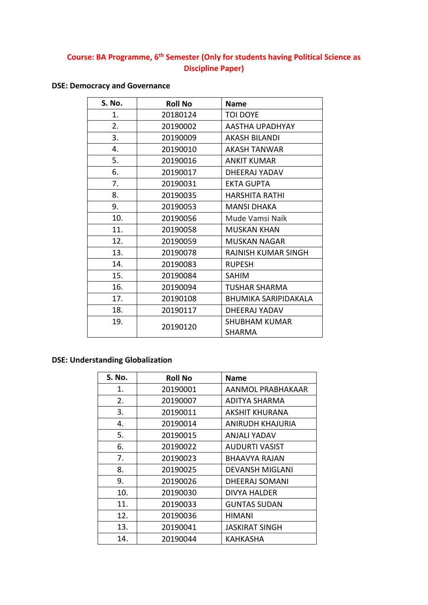### **Course: BA Programme, 6th Semester (Only for students having Political Science as Discipline Paper)**

## **DSE: Democracy and Governance**

| S. No. | <b>Roll No</b> | <b>Name</b>                 |
|--------|----------------|-----------------------------|
| 1.     | 20180124       | <b>TOI DOYE</b>             |
| 2.     | 20190002       | AASTHA UPADHYAY             |
| 3.     | 20190009       | <b>AKASH BILANDI</b>        |
| 4.     | 20190010       | AKASH TANWAR                |
| 5.     | 20190016       | <b>ANKIT KUMAR</b>          |
| 6.     | 20190017       | DHEERAJ YADAV               |
| 7.     | 20190031       | <b>EKTA GUPTA</b>           |
| 8.     | 20190035       | <b>HARSHITA RATHI</b>       |
| 9.     | 20190053       | <b>MANSI DHAKA</b>          |
| 10.    | 20190056       | Mude Vamsi Naik             |
| 11.    | 20190058       | <b>MUSKAN KHAN</b>          |
| 12.    | 20190059       | <b>MUSKAN NAGAR</b>         |
| 13.    | 20190078       | RAJNISH KUMAR SINGH         |
| 14.    | 20190083       | <b>RUPESH</b>               |
| 15.    | 20190084       | <b>SAHIM</b>                |
| 16.    | 20190094       | TUSHAR SHARMA               |
| 17.    | 20190108       | <b>BHUMIKA SARIPIDAKALA</b> |
| 18.    | 20190117       | DHEERAJ YADAV               |
| 19.    | 20190120       | SHUBHAM KUMAR               |
|        |                | <b>SHARMA</b>               |

### **DSE: Understanding Globalization**

| S. No. | <b>Roll No</b> | <b>Name</b>            |
|--------|----------------|------------------------|
| 1.     | 20190001       | AANMOL PRABHAKAAR      |
| 2.     | 20190007       | ADITYA SHARMA          |
| 3.     | 20190011       | AKSHIT KHURANA         |
| 4.     | 20190014       | ANIRUDH KHAJURIA       |
| 5.     | 20190015       | ANJALI YADAV           |
| 6.     | 20190022       | AUDURTI VASIST         |
| 7.     | 20190023       | BHAAVYA RAJAN          |
| 8.     | 20190025       | <b>DEVANSH MIGLANI</b> |
| 9.     | 20190026       | DHEERAJ SOMANI         |
| 10.    | 20190030       | DIVYA HALDER           |
| 11.    | 20190033       | <b>GUNTAS SUDAN</b>    |
| 12.    | 20190036       | <b>HIMANI</b>          |
| 13.    | 20190041       | JASKIRAT SINGH         |
| 14.    | 20190044       | KAHKASHA               |